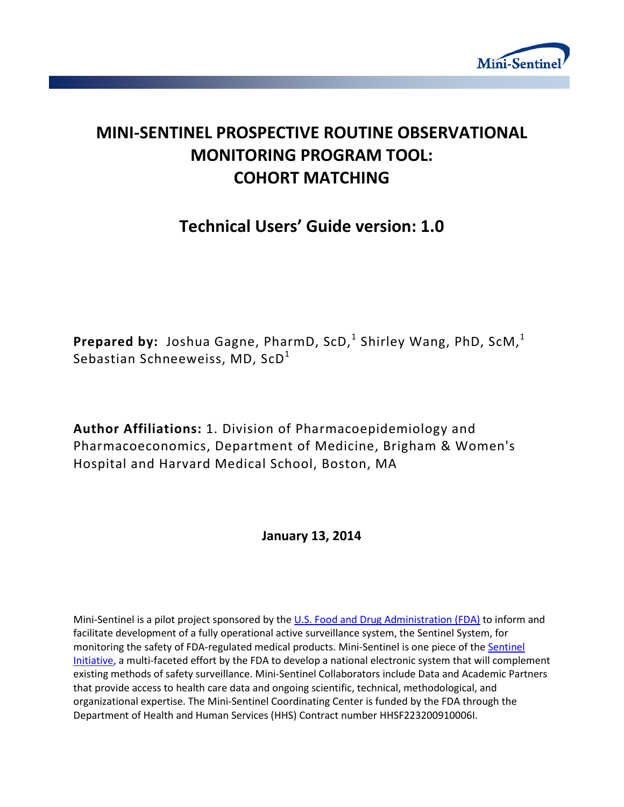

# **MINI-SENTINEL PROSPECTIVE ROUTINE OBSERVATIONAL MONITORING PROGRAM TOOL: COHORT MATCHING**

# **Technical Users' Guide version: 1.0**

Prepared by: Joshua Gagne, PharmD, ScD,<sup>1</sup> Shirley Wang, PhD, ScM,<sup>1</sup> Sebastian Schneeweiss, MD,  $ScD<sup>1</sup>$ 

**Author Affiliations:** 1. Division of Pharmacoepidemiology and Pharmacoeconomics, Department of Medicine, Brigham & Women's Hospital and Harvard Medical School, Boston, MA

# **January 13, 2014**

Mini-Sentinel is a pilot project sponsored by th[e U.S. Food and Drug Administration \(FDA\)](http://www.fda.gov/) to inform and facilitate development of a fully operational active surveillance system, the Sentinel System, for monitoring the safety of FDA-regulated medical products. Mini-Sentinel is one piece of the [Sentinel](http://www.fda.gov/Safety/FDAsSentinelInitiative/default.htm)  [Initiative,](http://www.fda.gov/Safety/FDAsSentinelInitiative/default.htm) a multi-faceted effort by the FDA to develop a national electronic system that will complement existing methods of safety surveillance. Mini-Sentinel Collaborators include Data and Academic Partners that provide access to health care data and ongoing scientific, technical, methodological, and organizational expertise. The Mini-Sentinel Coordinating Center is funded by the FDA through the Department of Health and Human Services (HHS) Contract number HHSF223200910006I.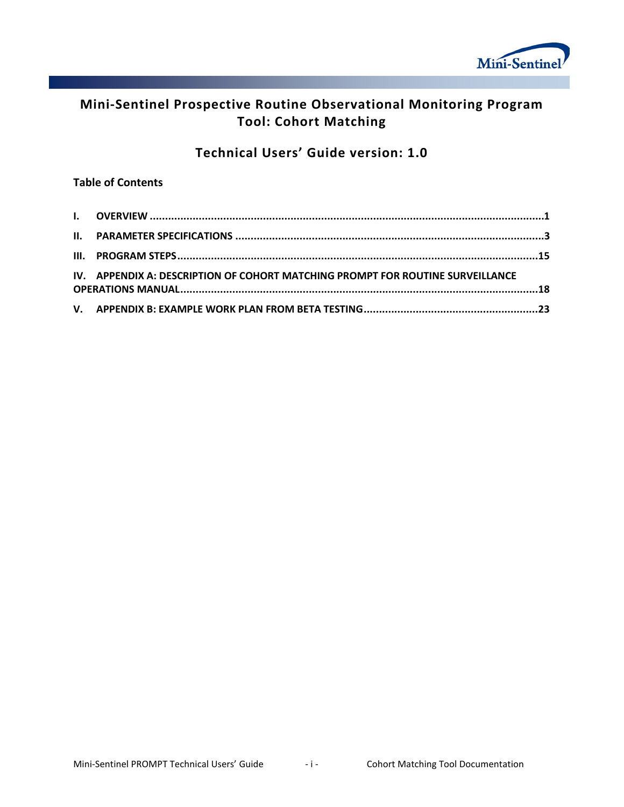

# **Mini-Sentinel Prospective Routine Observational Monitoring Program Tool: Cohort Matching**

# **Technical Users' Guide version: 1.0**

## **Table of Contents**

| IV. APPENDIX A: DESCRIPTION OF COHORT MATCHING PROMPT FOR ROUTINE SURVEILLANCE |  |
|--------------------------------------------------------------------------------|--|
|                                                                                |  |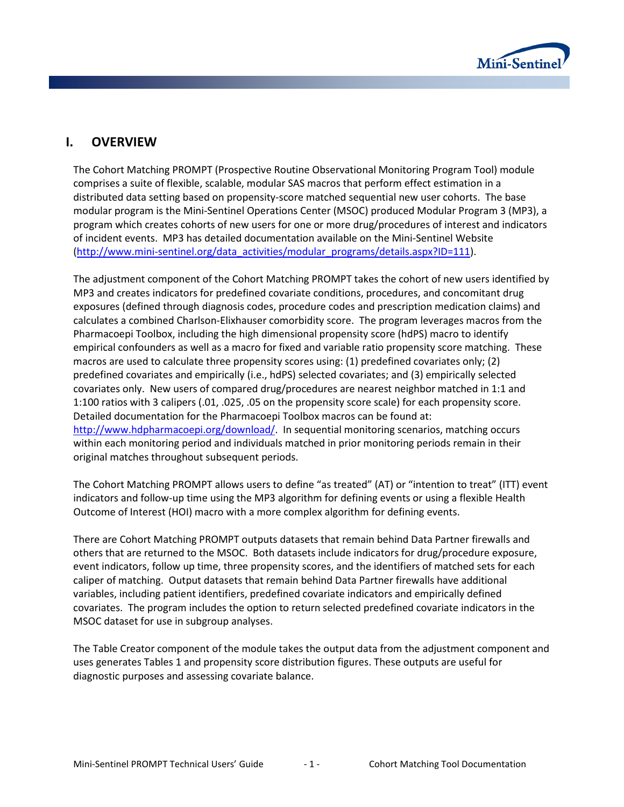

# **I. OVERVIEW**

The Cohort Matching PROMPT (Prospective Routine Observational Monitoring Program Tool) module comprises a suite of flexible, scalable, modular SAS macros that perform effect estimation in a distributed data setting based on propensity-score matched sequential new user cohorts. The base modular program is the Mini-Sentinel Operations Center (MSOC) produced Modular Program 3 (MP3), a program which creates cohorts of new users for one or more drug/procedures of interest and indicators of incident events. MP3 has detailed documentation available on the Mini-Sentinel Website [\(http://www.mini-sentinel.org/data\\_activities/modular\\_programs/details.aspx?ID=111\)](http://www.mini-sentinel.org/data_activities/modular_programs/details.aspx?ID=111).

The adjustment component of the Cohort Matching PROMPT takes the cohort of new users identified by MP3 and creates indicators for predefined covariate conditions, procedures, and concomitant drug exposures (defined through diagnosis codes, procedure codes and prescription medication claims) and calculates a combined Charlson-Elixhauser comorbidity score. The program leverages macros from the Pharmacoepi Toolbox, including the high dimensional propensity score (hdPS) macro to identify empirical confounders as well as a macro for fixed and variable ratio propensity score matching. These macros are used to calculate three propensity scores using: (1) predefined covariates only; (2) predefined covariates and empirically (i.e., hdPS) selected covariates; and (3) empirically selected covariates only. New users of compared drug/procedures are nearest neighbor matched in 1:1 and 1:100 ratios with 3 calipers (.01, .025, .05 on the propensity score scale) for each propensity score. Detailed documentation for the Pharmacoepi Toolbox macros can be found at: [http://www.hdpharmacoepi.org/download/.](http://www.hdpharmacoepi.org/download/) In sequential monitoring scenarios, matching occurs within each monitoring period and individuals matched in prior monitoring periods remain in their original matches throughout subsequent periods.

The Cohort Matching PROMPT allows users to define "as treated" (AT) or "intention to treat" (ITT) event indicators and follow-up time using the MP3 algorithm for defining events or using a flexible Health Outcome of Interest (HOI) macro with a more complex algorithm for defining events.

There are Cohort Matching PROMPT outputs datasets that remain behind Data Partner firewalls and others that are returned to the MSOC. Both datasets include indicators for drug/procedure exposure, event indicators, follow up time, three propensity scores, and the identifiers of matched sets for each caliper of matching. Output datasets that remain behind Data Partner firewalls have additional variables, including patient identifiers, predefined covariate indicators and empirically defined covariates. The program includes the option to return selected predefined covariate indicators in the MSOC dataset for use in subgroup analyses.

The Table Creator component of the module takes the output data from the adjustment component and uses generates Tables 1 and propensity score distribution figures. These outputs are useful for diagnostic purposes and assessing covariate balance.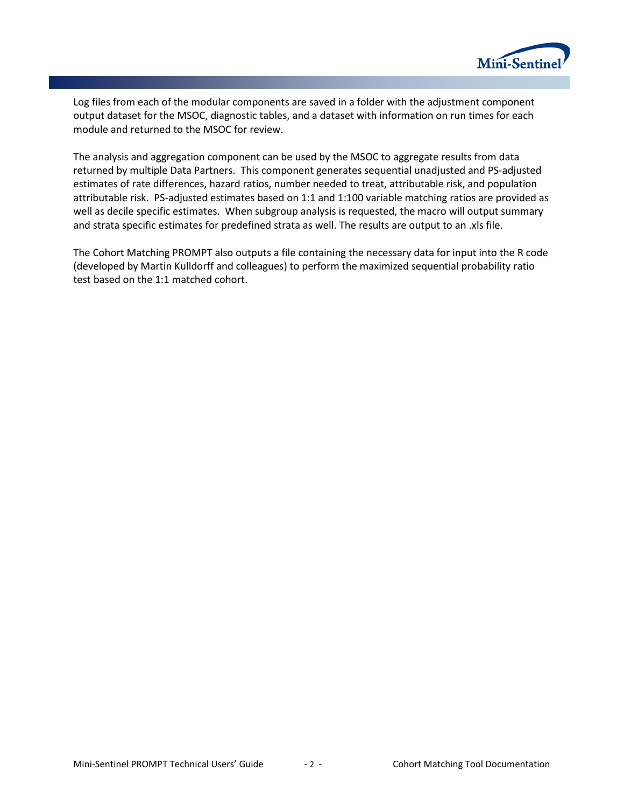

Log files from each of the modular components are saved in a folder with the adjustment component output dataset for the MSOC, diagnostic tables, and a dataset with information on run times for each module and returned to the MSOC for review.

The analysis and aggregation component can be used by the MSOC to aggregate results from data returned by multiple Data Partners. This component generates sequential unadjusted and PS-adjusted estimates of rate differences, hazard ratios, number needed to treat, attributable risk, and population attributable risk. PS-adjusted estimates based on 1:1 and 1:100 variable matching ratios are provided as well as decile specific estimates. When subgroup analysis is requested, the macro will output summary and strata specific estimates for predefined strata as well. The results are output to an .xls file.

The Cohort Matching PROMPT also outputs a file containing the necessary data for input into the R code (developed by Martin Kulldorff and colleagues) to perform the maximized sequential probability ratio test based on the 1:1 matched cohort.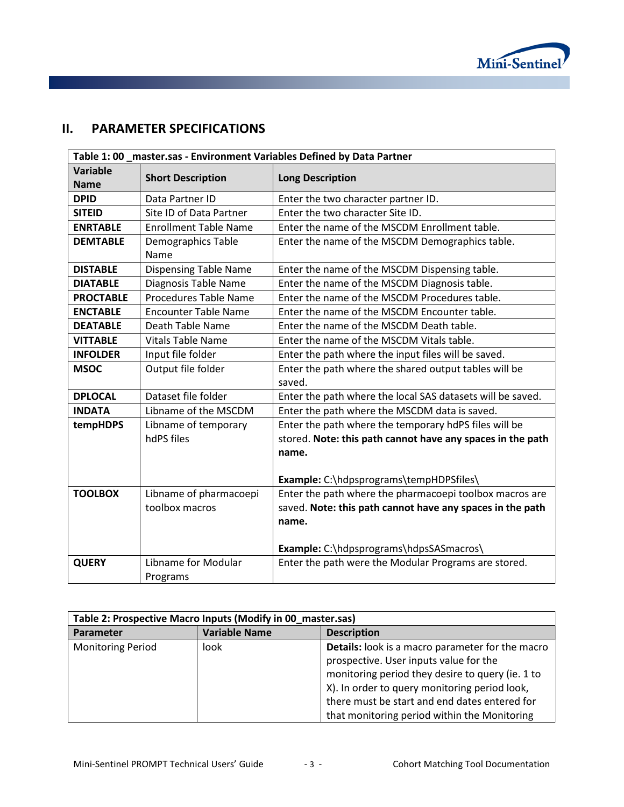

# **II. PARAMETER SPECIFICATIONS**

| Table 1:00 _master.sas - Environment Variables Defined by Data Partner |                              |                                                                 |  |  |
|------------------------------------------------------------------------|------------------------------|-----------------------------------------------------------------|--|--|
| <b>Variable</b>                                                        | <b>Short Description</b>     | <b>Long Description</b>                                         |  |  |
| <b>Name</b>                                                            |                              |                                                                 |  |  |
| <b>DPID</b>                                                            | Data Partner ID              | Enter the two character partner ID.                             |  |  |
| <b>SITEID</b>                                                          | Site ID of Data Partner      | Enter the two character Site ID.                                |  |  |
| <b>ENRTABLE</b>                                                        | <b>Enrollment Table Name</b> | Enter the name of the MSCDM Enrollment table.                   |  |  |
| <b>DEMTABLE</b>                                                        | Demographics Table<br>Name   | Enter the name of the MSCDM Demographics table.                 |  |  |
| <b>DISTABLE</b>                                                        | <b>Dispensing Table Name</b> | Enter the name of the MSCDM Dispensing table.                   |  |  |
| <b>DIATABLE</b>                                                        | Diagnosis Table Name         | Enter the name of the MSCDM Diagnosis table.                    |  |  |
| <b>PROCTABLE</b>                                                       | Procedures Table Name        | Enter the name of the MSCDM Procedures table.                   |  |  |
| <b>ENCTABLE</b>                                                        | <b>Encounter Table Name</b>  | Enter the name of the MSCDM Encounter table.                    |  |  |
| <b>DEATABLE</b>                                                        | Death Table Name             | Enter the name of the MSCDM Death table.                        |  |  |
| <b>VITTABLE</b>                                                        | <b>Vitals Table Name</b>     | Enter the name of the MSCDM Vitals table.                       |  |  |
| <b>INFOLDER</b>                                                        | Input file folder            | Enter the path where the input files will be saved.             |  |  |
| <b>MSOC</b>                                                            | Output file folder           | Enter the path where the shared output tables will be<br>saved. |  |  |
| <b>DPLOCAL</b>                                                         | Dataset file folder          | Enter the path where the local SAS datasets will be saved.      |  |  |
| <b>INDATA</b>                                                          | Libname of the MSCDM         | Enter the path where the MSCDM data is saved.                   |  |  |
| tempHDPS                                                               | Libname of temporary         | Enter the path where the temporary hdPS files will be           |  |  |
|                                                                        | hdPS files                   | stored. Note: this path cannot have any spaces in the path      |  |  |
|                                                                        |                              | name.                                                           |  |  |
|                                                                        |                              |                                                                 |  |  |
|                                                                        |                              | Example: C:\hdpsprograms\tempHDPSfiles\                         |  |  |
| <b>TOOLBOX</b>                                                         | Libname of pharmacoepi       | Enter the path where the pharmacoepi toolbox macros are         |  |  |
|                                                                        | toolbox macros               | saved. Note: this path cannot have any spaces in the path       |  |  |
|                                                                        |                              | name.                                                           |  |  |
|                                                                        |                              |                                                                 |  |  |
|                                                                        |                              | Example: C:\hdpsprograms\hdpsSASmacros\                         |  |  |
| <b>QUERY</b>                                                           | Libname for Modular          | Enter the path were the Modular Programs are stored.            |  |  |
|                                                                        | Programs                     |                                                                 |  |  |

| Table 2: Prospective Macro Inputs (Modify in 00_master.sas) |                      |                                                                                            |
|-------------------------------------------------------------|----------------------|--------------------------------------------------------------------------------------------|
| Parameter                                                   | <b>Variable Name</b> | <b>Description</b>                                                                         |
| <b>Monitoring Period</b>                                    | look                 | Details: look is a macro parameter for the macro                                           |
|                                                             |                      | prospective. User inputs value for the<br>monitoring period they desire to query (ie. 1 to |
|                                                             |                      | X). In order to query monitoring period look,                                              |
|                                                             |                      | there must be start and end dates entered for                                              |
|                                                             |                      | that monitoring period within the Monitoring                                               |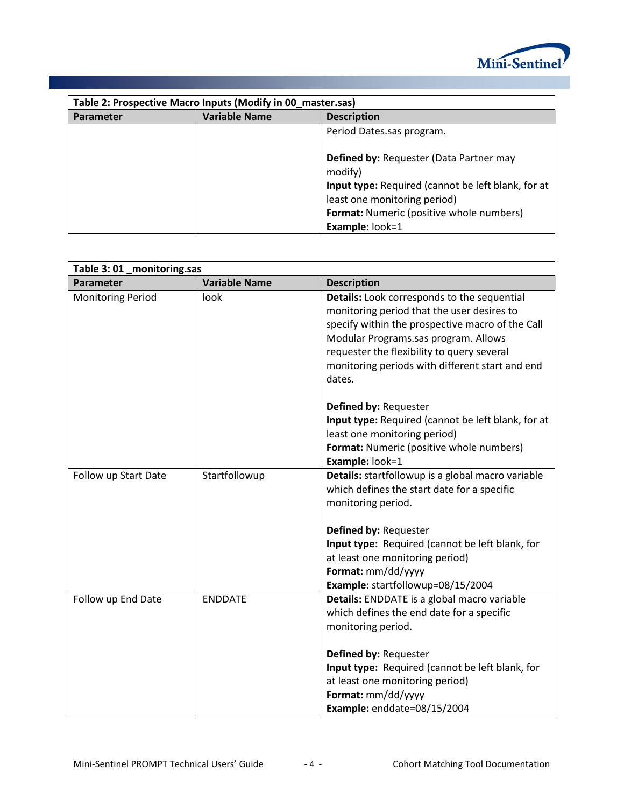

| Table 2: Prospective Macro Inputs (Modify in 00 master.sas) |                      |                                                                                                                                                                                             |
|-------------------------------------------------------------|----------------------|---------------------------------------------------------------------------------------------------------------------------------------------------------------------------------------------|
| <b>Parameter</b>                                            | <b>Variable Name</b> | <b>Description</b>                                                                                                                                                                          |
|                                                             |                      | Period Dates.sas program.                                                                                                                                                                   |
|                                                             |                      | <b>Defined by: Requester (Data Partner may</b><br>modify)<br>Input type: Required (cannot be left blank, for at<br>least one monitoring period)<br>Format: Numeric (positive whole numbers) |
|                                                             |                      | Example: look=1                                                                                                                                                                             |

| Table 3:01_monitoring.sas |                      |                                                                                                                                                                                                                                                                                                  |  |
|---------------------------|----------------------|--------------------------------------------------------------------------------------------------------------------------------------------------------------------------------------------------------------------------------------------------------------------------------------------------|--|
| Parameter                 | <b>Variable Name</b> | <b>Description</b>                                                                                                                                                                                                                                                                               |  |
| <b>Monitoring Period</b>  | look                 | Details: Look corresponds to the sequential<br>monitoring period that the user desires to<br>specify within the prospective macro of the Call<br>Modular Programs.sas program. Allows<br>requester the flexibility to query several<br>monitoring periods with different start and end<br>dates. |  |
|                           |                      | Defined by: Requester<br>Input type: Required (cannot be left blank, for at<br>least one monitoring period)<br>Format: Numeric (positive whole numbers)<br>Example: look=1                                                                                                                       |  |
| Follow up Start Date      | Startfollowup        | Details: startfollowup is a global macro variable<br>which defines the start date for a specific<br>monitoring period.                                                                                                                                                                           |  |
|                           |                      | Defined by: Requester<br>Input type: Required (cannot be left blank, for<br>at least one monitoring period)<br>Format: mm/dd/yyyy<br>Example: startfollowup=08/15/2004                                                                                                                           |  |
| Follow up End Date        | <b>ENDDATE</b>       | Details: ENDDATE is a global macro variable<br>which defines the end date for a specific<br>monitoring period.                                                                                                                                                                                   |  |
|                           |                      | Defined by: Requester<br>Input type: Required (cannot be left blank, for<br>at least one monitoring period)<br>Format: mm/dd/yyyy<br>Example: enddate=08/15/2004                                                                                                                                 |  |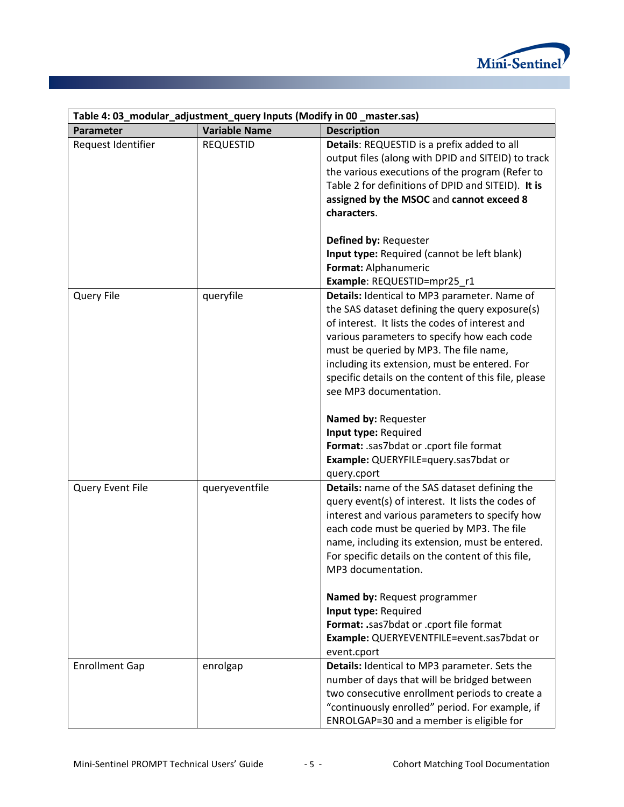

| Table 4: 03_modular_adjustment_query Inputs (Modify in 00_master.sas) |                      |                                                                                                                                                                                                                                                                                                                                                                                                                                                                                                                                |  |
|-----------------------------------------------------------------------|----------------------|--------------------------------------------------------------------------------------------------------------------------------------------------------------------------------------------------------------------------------------------------------------------------------------------------------------------------------------------------------------------------------------------------------------------------------------------------------------------------------------------------------------------------------|--|
| Parameter                                                             | <b>Variable Name</b> | <b>Description</b>                                                                                                                                                                                                                                                                                                                                                                                                                                                                                                             |  |
| Request Identifier                                                    | <b>REQUESTID</b>     | Details: REQUESTID is a prefix added to all<br>output files (along with DPID and SITEID) to track<br>the various executions of the program (Refer to<br>Table 2 for definitions of DPID and SITEID). It is<br>assigned by the MSOC and cannot exceed 8<br>characters.<br>Defined by: Requester<br>Input type: Required (cannot be left blank)<br>Format: Alphanumeric<br>Example: REQUESTID=mpr25_r1                                                                                                                           |  |
| Query File                                                            | queryfile            | Details: Identical to MP3 parameter. Name of<br>the SAS dataset defining the query exposure(s)<br>of interest. It lists the codes of interest and<br>various parameters to specify how each code<br>must be queried by MP3. The file name,<br>including its extension, must be entered. For<br>specific details on the content of this file, please<br>see MP3 documentation.<br>Named by: Requester<br>Input type: Required<br>Format: .sas7bdat or .cport file format<br>Example: QUERYFILE=query.sas7bdat or<br>query.cport |  |
| Query Event File                                                      | queryeventfile       | Details: name of the SAS dataset defining the<br>query event(s) of interest. It lists the codes of<br>interest and various parameters to specify how<br>each code must be queried by MP3. The file<br>name, including its extension, must be entered.<br>For specific details on the content of this file,<br>MP3 documentation.<br>Named by: Request programmer<br>Input type: Required<br>Format: .sas7bdat or .cport file format<br>Example: QUERYEVENTFILE=event.sas7bdat or<br>event.cport                                |  |
| <b>Enrollment Gap</b>                                                 | enrolgap             | Details: Identical to MP3 parameter. Sets the<br>number of days that will be bridged between<br>two consecutive enrollment periods to create a<br>"continuously enrolled" period. For example, if<br>ENROLGAP=30 and a member is eligible for                                                                                                                                                                                                                                                                                  |  |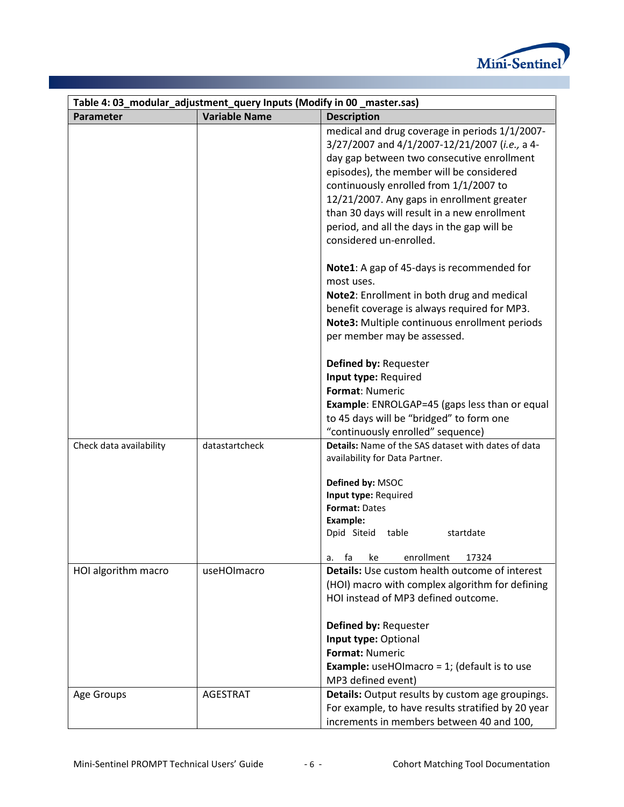

| Table 4: 03_modular_adjustment_query Inputs (Modify in 00 _master.sas) |                      |                                                                                                                                                                                                                                                                                                                                                                                                                                                                                                                                                                                                                                                       |
|------------------------------------------------------------------------|----------------------|-------------------------------------------------------------------------------------------------------------------------------------------------------------------------------------------------------------------------------------------------------------------------------------------------------------------------------------------------------------------------------------------------------------------------------------------------------------------------------------------------------------------------------------------------------------------------------------------------------------------------------------------------------|
| Parameter                                                              | <b>Variable Name</b> | <b>Description</b>                                                                                                                                                                                                                                                                                                                                                                                                                                                                                                                                                                                                                                    |
|                                                                        |                      | medical and drug coverage in periods 1/1/2007-<br>3/27/2007 and 4/1/2007-12/21/2007 (i.e., a 4-<br>day gap between two consecutive enrollment<br>episodes), the member will be considered<br>continuously enrolled from 1/1/2007 to<br>12/21/2007. Any gaps in enrollment greater<br>than 30 days will result in a new enrollment<br>period, and all the days in the gap will be<br>considered un-enrolled.<br>Note1: A gap of 45-days is recommended for<br>most uses.<br>Note2: Enrollment in both drug and medical<br>benefit coverage is always required for MP3.<br>Note3: Multiple continuous enrollment periods<br>per member may be assessed. |
|                                                                        |                      | Defined by: Requester<br>Input type: Required<br>Format: Numeric<br><b>Example:</b> ENROLGAP=45 (gaps less than or equal<br>to 45 days will be "bridged" to form one<br>"continuously enrolled" sequence)                                                                                                                                                                                                                                                                                                                                                                                                                                             |
| Check data availability                                                | datastartcheck       | Details: Name of the SAS dataset with dates of data<br>availability for Data Partner.<br>Defined by: MSOC<br>Input type: Required<br><b>Format: Dates</b><br>Example:<br>Dpid Siteid<br>table<br>startdate<br>enrollment<br>fa<br>17324<br>ke<br>a.                                                                                                                                                                                                                                                                                                                                                                                                   |
| HOI algorithm macro                                                    | useHOImacro          | Details: Use custom health outcome of interest<br>(HOI) macro with complex algorithm for defining<br>HOI instead of MP3 defined outcome.<br>Defined by: Requester<br>Input type: Optional<br>Format: Numeric<br><b>Example:</b> useHOImacro = $1$ ; (default is to use<br>MP3 defined event)                                                                                                                                                                                                                                                                                                                                                          |
| Age Groups                                                             | <b>AGESTRAT</b>      | Details: Output results by custom age groupings.<br>For example, to have results stratified by 20 year<br>increments in members between 40 and 100,                                                                                                                                                                                                                                                                                                                                                                                                                                                                                                   |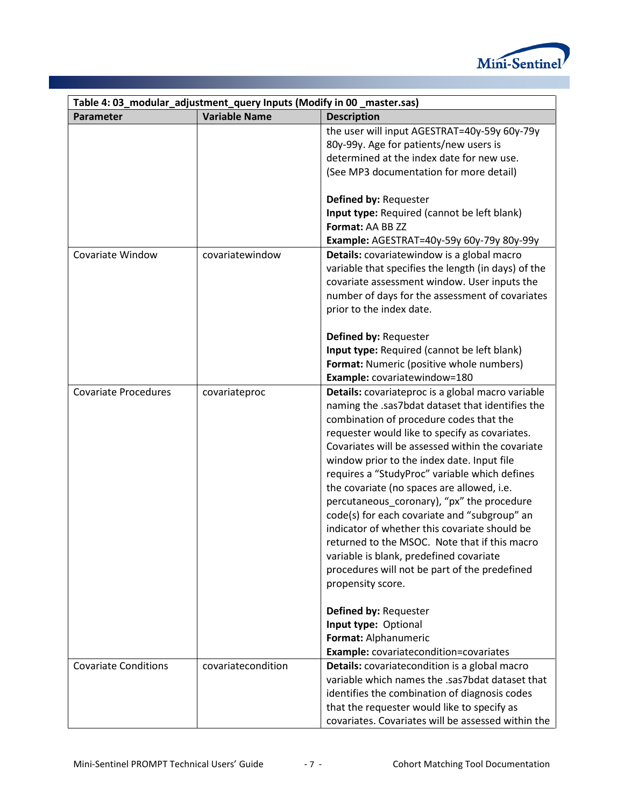

| Table 4: 03_modular_adjustment_query Inputs (Modify in 00_master.sas) |                                                      |  |
|-----------------------------------------------------------------------|------------------------------------------------------|--|
| <b>Variable Name</b><br><b>Description</b><br>Parameter               |                                                      |  |
|                                                                       | the user will input AGESTRAT=40y-59y 60y-79y         |  |
|                                                                       | 80y-99y. Age for patients/new users is               |  |
|                                                                       | determined at the index date for new use.            |  |
|                                                                       | (See MP3 documentation for more detail)              |  |
|                                                                       |                                                      |  |
| Defined by: Requester                                                 |                                                      |  |
|                                                                       | Input type: Required (cannot be left blank)          |  |
| Format: AA BB ZZ                                                      |                                                      |  |
|                                                                       | Example: AGESTRAT=40y-59y 60y-79y 80y-99y            |  |
| <b>Covariate Window</b><br>covariatewindow                            | Details: covariatewindow is a global macro           |  |
|                                                                       | variable that specifies the length (in days) of the  |  |
|                                                                       | covariate assessment window. User inputs the         |  |
|                                                                       | number of days for the assessment of covariates      |  |
| prior to the index date.                                              |                                                      |  |
|                                                                       |                                                      |  |
| Defined by: Requester                                                 |                                                      |  |
|                                                                       | Input type: Required (cannot be left blank)          |  |
|                                                                       | Format: Numeric (positive whole numbers)             |  |
| Example: covariatewindow=180                                          |                                                      |  |
| <b>Covariate Procedures</b><br>covariateproc                          | Details: covariateproc is a global macro variable    |  |
|                                                                       | naming the .sas7bdat dataset that identifies the     |  |
|                                                                       | combination of procedure codes that the              |  |
|                                                                       | requester would like to specify as covariates.       |  |
|                                                                       | Covariates will be assessed within the covariate     |  |
|                                                                       | window prior to the index date. Input file           |  |
|                                                                       | requires a "StudyProc" variable which defines        |  |
|                                                                       | the covariate (no spaces are allowed, i.e.           |  |
|                                                                       | percutaneous coronary), "px" the procedure           |  |
|                                                                       | code(s) for each covariate and "subgroup" an         |  |
|                                                                       | indicator of whether this covariate should be        |  |
|                                                                       | returned to the MSOC. Note that if this macro        |  |
|                                                                       | variable is blank, predefined covariate              |  |
|                                                                       | procedures will not be part of the predefined        |  |
| propensity score.                                                     |                                                      |  |
|                                                                       |                                                      |  |
| Defined by: Requester                                                 |                                                      |  |
| Input type: Optional                                                  |                                                      |  |
| Format: Alphanumeric                                                  |                                                      |  |
|                                                                       | Example: covariatecondition=covariates               |  |
| <b>Covariate Conditions</b><br>covariatecondition                     | <b>Details:</b> covariatecondition is a global macro |  |
|                                                                       | variable which names the .sas7bdat dataset that      |  |
|                                                                       | identifies the combination of diagnosis codes        |  |
|                                                                       | that the requester would like to specify as          |  |
|                                                                       | covariates. Covariates will be assessed within the   |  |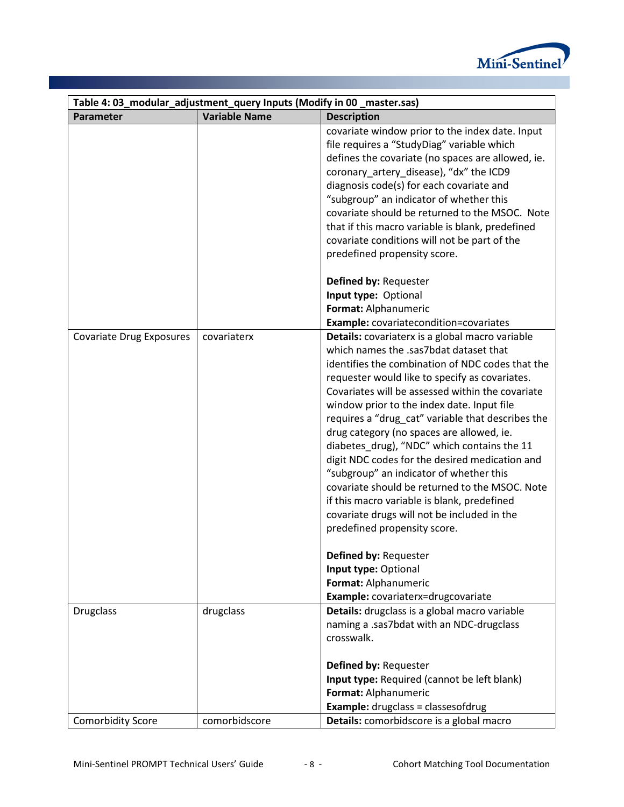

| Table 4: 03_modular_adjustment_query Inputs (Modify in 00 _master.sas) |                      |                                                                                                                                                                                                                                                                                                                                                                                                                                                                                                                                                                                                                                                                                                                                                                                                                                                |
|------------------------------------------------------------------------|----------------------|------------------------------------------------------------------------------------------------------------------------------------------------------------------------------------------------------------------------------------------------------------------------------------------------------------------------------------------------------------------------------------------------------------------------------------------------------------------------------------------------------------------------------------------------------------------------------------------------------------------------------------------------------------------------------------------------------------------------------------------------------------------------------------------------------------------------------------------------|
| Parameter                                                              | <b>Variable Name</b> | <b>Description</b>                                                                                                                                                                                                                                                                                                                                                                                                                                                                                                                                                                                                                                                                                                                                                                                                                             |
|                                                                        |                      | covariate window prior to the index date. Input<br>file requires a "StudyDiag" variable which<br>defines the covariate (no spaces are allowed, ie.<br>coronary_artery_disease), "dx" the ICD9<br>diagnosis code(s) for each covariate and<br>"subgroup" an indicator of whether this<br>covariate should be returned to the MSOC. Note<br>that if this macro variable is blank, predefined<br>covariate conditions will not be part of the<br>predefined propensity score.                                                                                                                                                                                                                                                                                                                                                                     |
|                                                                        |                      | Defined by: Requester<br>Input type: Optional<br>Format: Alphanumeric<br><b>Example:</b> covariatecondition=covariates                                                                                                                                                                                                                                                                                                                                                                                                                                                                                                                                                                                                                                                                                                                         |
| <b>Covariate Drug Exposures</b>                                        | covariaterx          | Details: covariaterx is a global macro variable<br>which names the .sas7bdat dataset that<br>identifies the combination of NDC codes that the<br>requester would like to specify as covariates.<br>Covariates will be assessed within the covariate<br>window prior to the index date. Input file<br>requires a "drug_cat" variable that describes the<br>drug category (no spaces are allowed, ie.<br>diabetes_drug), "NDC" which contains the 11<br>digit NDC codes for the desired medication and<br>"subgroup" an indicator of whether this<br>covariate should be returned to the MSOC. Note<br>if this macro variable is blank, predefined<br>covariate drugs will not be included in the<br>predefined propensity score.<br>Defined by: Requester<br>Input type: Optional<br>Format: Alphanumeric<br>Example: covariaterx=drugcovariate |
| <b>Drugclass</b>                                                       | drugclass            | Details: drugclass is a global macro variable<br>naming a .sas7bdat with an NDC-drugclass<br>crosswalk.<br>Defined by: Requester<br>Input type: Required (cannot be left blank)<br>Format: Alphanumeric                                                                                                                                                                                                                                                                                                                                                                                                                                                                                                                                                                                                                                        |
| <b>Comorbidity Score</b>                                               | comorbidscore        | <b>Example:</b> drugclass = classesofdrug<br>Details: comorbidscore is a global macro                                                                                                                                                                                                                                                                                                                                                                                                                                                                                                                                                                                                                                                                                                                                                          |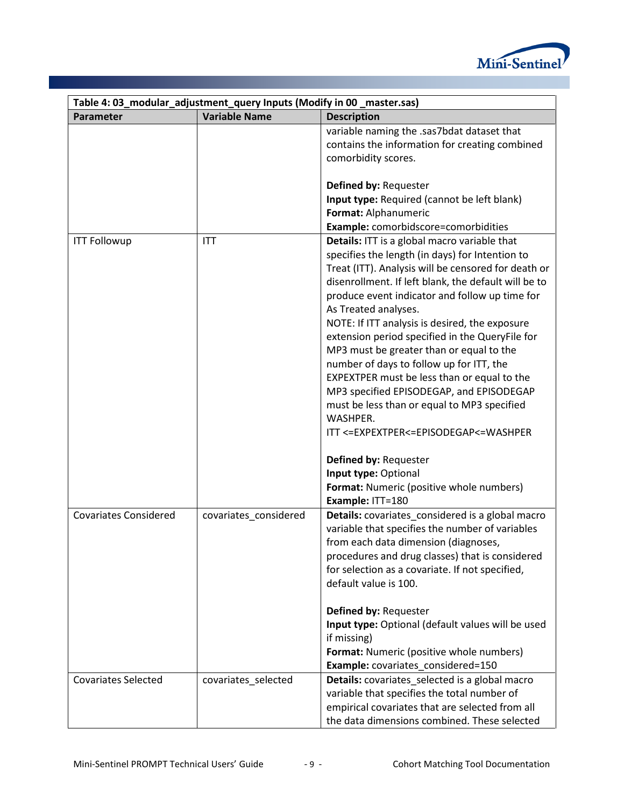

| Table 4: 03_modular_adjustment_query Inputs (Modify in 00_master.sas) |                       |                                                      |
|-----------------------------------------------------------------------|-----------------------|------------------------------------------------------|
| Parameter                                                             | <b>Variable Name</b>  | <b>Description</b>                                   |
|                                                                       |                       | variable naming the .sas7bdat dataset that           |
|                                                                       |                       | contains the information for creating combined       |
|                                                                       |                       | comorbidity scores.                                  |
|                                                                       |                       |                                                      |
|                                                                       |                       | Defined by: Requester                                |
|                                                                       |                       | Input type: Required (cannot be left blank)          |
|                                                                       |                       | Format: Alphanumeric                                 |
|                                                                       |                       | Example: comorbidscore=comorbidities                 |
| <b>ITT Followup</b>                                                   | <b>ITT</b>            | Details: ITT is a global macro variable that         |
|                                                                       |                       | specifies the length (in days) for Intention to      |
|                                                                       |                       | Treat (ITT). Analysis will be censored for death or  |
|                                                                       |                       | disenrollment. If left blank, the default will be to |
|                                                                       |                       | produce event indicator and follow up time for       |
|                                                                       |                       | As Treated analyses.                                 |
|                                                                       |                       | NOTE: If ITT analysis is desired, the exposure       |
|                                                                       |                       | extension period specified in the QueryFile for      |
|                                                                       |                       | MP3 must be greater than or equal to the             |
|                                                                       |                       | number of days to follow up for ITT, the             |
|                                                                       |                       | EXPEXTPER must be less than or equal to the          |
|                                                                       |                       | MP3 specified EPISODEGAP, and EPISODEGAP             |
|                                                                       |                       | must be less than or equal to MP3 specified          |
|                                                                       |                       | WASHPER.                                             |
|                                                                       |                       | ITT <= EXPEXTPER <= EPISODEGAP <= WASHPER            |
|                                                                       |                       | Defined by: Requester                                |
|                                                                       |                       | Input type: Optional                                 |
|                                                                       |                       | Format: Numeric (positive whole numbers)             |
|                                                                       |                       | Example: ITT=180                                     |
| <b>Covariates Considered</b>                                          | covariates_considered | Details: covariates_considered is a global macro     |
|                                                                       |                       | variable that specifies the number of variables      |
|                                                                       |                       | from each data dimension (diagnoses,                 |
|                                                                       |                       | procedures and drug classes) that is considered      |
|                                                                       |                       | for selection as a covariate. If not specified,      |
|                                                                       |                       | default value is 100.                                |
|                                                                       |                       |                                                      |
|                                                                       |                       | Defined by: Requester                                |
|                                                                       |                       | Input type: Optional (default values will be used    |
|                                                                       |                       | if missing)                                          |
|                                                                       |                       | Format: Numeric (positive whole numbers)             |
|                                                                       |                       | Example: covariates considered=150                   |
| <b>Covariates Selected</b>                                            | covariates selected   | Details: covariates_selected is a global macro       |
|                                                                       |                       | variable that specifies the total number of          |
|                                                                       |                       | empirical covariates that are selected from all      |
|                                                                       |                       | the data dimensions combined. These selected         |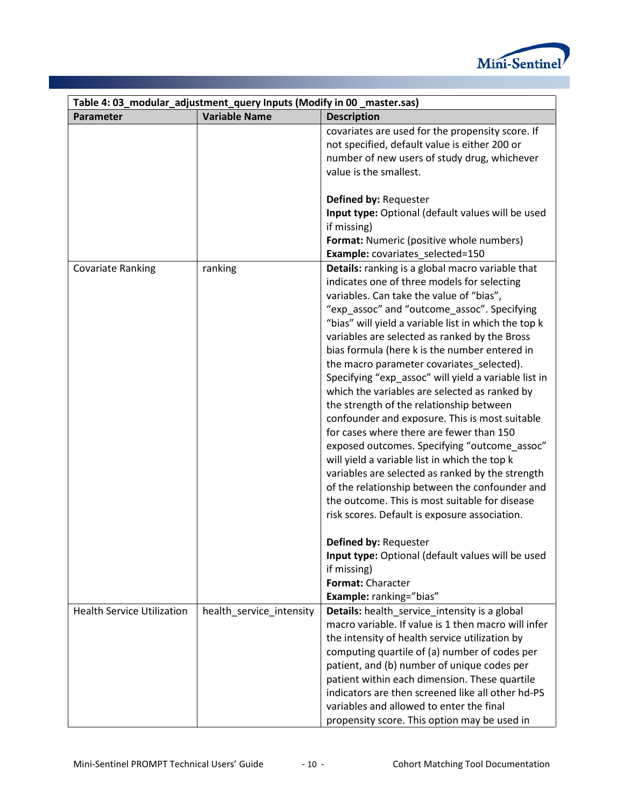

|                                   | Table 4: 03_modular_adjustment_query Inputs (Modify in 00 _master.sas) |                                                                                                                                                                                                                                                                                                                                                                                                                                                                                                                                                                                                                                                                                                                                                                                                                                                                                                                                                                                                                                                                                                             |
|-----------------------------------|------------------------------------------------------------------------|-------------------------------------------------------------------------------------------------------------------------------------------------------------------------------------------------------------------------------------------------------------------------------------------------------------------------------------------------------------------------------------------------------------------------------------------------------------------------------------------------------------------------------------------------------------------------------------------------------------------------------------------------------------------------------------------------------------------------------------------------------------------------------------------------------------------------------------------------------------------------------------------------------------------------------------------------------------------------------------------------------------------------------------------------------------------------------------------------------------|
| Parameter                         | <b>Variable Name</b>                                                   | <b>Description</b>                                                                                                                                                                                                                                                                                                                                                                                                                                                                                                                                                                                                                                                                                                                                                                                                                                                                                                                                                                                                                                                                                          |
|                                   |                                                                        | covariates are used for the propensity score. If<br>not specified, default value is either 200 or<br>number of new users of study drug, whichever<br>value is the smallest.<br>Defined by: Requester<br>Input type: Optional (default values will be used<br>if missing)<br><b>Format:</b> Numeric (positive whole numbers)<br>Example: covariates_selected=150                                                                                                                                                                                                                                                                                                                                                                                                                                                                                                                                                                                                                                                                                                                                             |
| <b>Covariate Ranking</b>          | ranking                                                                | Details: ranking is a global macro variable that<br>indicates one of three models for selecting<br>variables. Can take the value of "bias",<br>"exp_assoc" and "outcome_assoc". Specifying<br>"bias" will yield a variable list in which the top k<br>variables are selected as ranked by the Bross<br>bias formula (here k is the number entered in<br>the macro parameter covariates_selected).<br>Specifying "exp_assoc" will yield a variable list in<br>which the variables are selected as ranked by<br>the strength of the relationship between<br>confounder and exposure. This is most suitable<br>for cases where there are fewer than 150<br>exposed outcomes. Specifying "outcome_assoc"<br>will yield a variable list in which the top k<br>variables are selected as ranked by the strength<br>of the relationship between the confounder and<br>the outcome. This is most suitable for disease<br>risk scores. Default is exposure association.<br>Defined by: Requester<br>Input type: Optional (default values will be used<br>if missing)<br>Format: Character<br>Example: ranking="bias" |
| <b>Health Service Utilization</b> | health_service_intensity                                               | Details: health_service_intensity is a global<br>macro variable. If value is 1 then macro will infer<br>the intensity of health service utilization by<br>computing quartile of (a) number of codes per<br>patient, and (b) number of unique codes per<br>patient within each dimension. These quartile<br>indicators are then screened like all other hd-PS<br>variables and allowed to enter the final<br>propensity score. This option may be used in                                                                                                                                                                                                                                                                                                                                                                                                                                                                                                                                                                                                                                                    |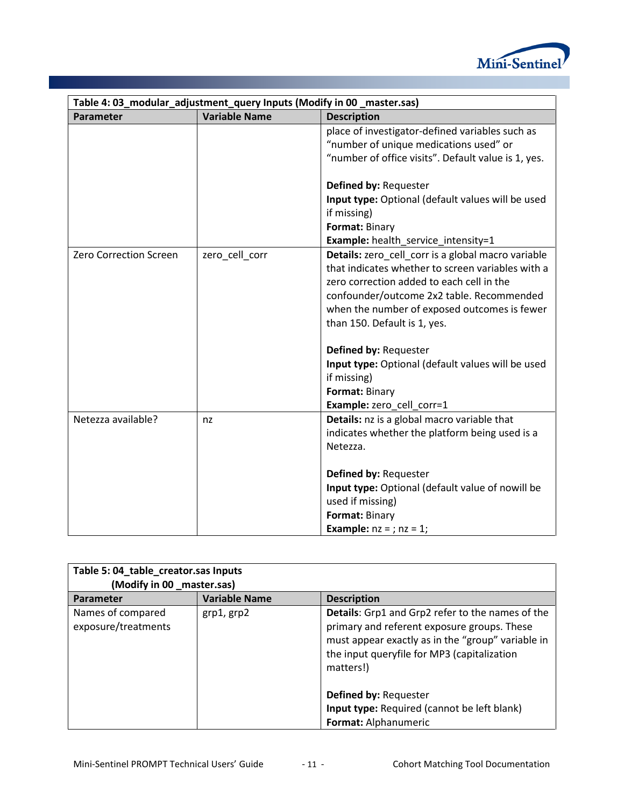

| Table 4: 03_modular_adjustment_query Inputs (Modify in 00 _master.sas) |                      |                                                                                                                                                                                                                                                                                                                                                                                                                                                                             |
|------------------------------------------------------------------------|----------------------|-----------------------------------------------------------------------------------------------------------------------------------------------------------------------------------------------------------------------------------------------------------------------------------------------------------------------------------------------------------------------------------------------------------------------------------------------------------------------------|
| Parameter                                                              | <b>Variable Name</b> | <b>Description</b>                                                                                                                                                                                                                                                                                                                                                                                                                                                          |
|                                                                        |                      | place of investigator-defined variables such as<br>"number of unique medications used" or<br>"number of office visits". Default value is 1, yes.                                                                                                                                                                                                                                                                                                                            |
|                                                                        |                      | Defined by: Requester<br>Input type: Optional (default values will be used<br>if missing)<br>Format: Binary                                                                                                                                                                                                                                                                                                                                                                 |
| <b>Zero Correction Screen</b>                                          | zero_cell_corr       | <b>Example:</b> health_service_intensity=1<br>Details: zero_cell_corr is a global macro variable<br>that indicates whether to screen variables with a<br>zero correction added to each cell in the<br>confounder/outcome 2x2 table. Recommended<br>when the number of exposed outcomes is fewer<br>than 150. Default is 1, yes.<br>Defined by: Requester<br>Input type: Optional (default values will be used<br>if missing)<br>Format: Binary<br>Example: zero_cell_corr=1 |
| Netezza available?                                                     | nz                   | Details: nz is a global macro variable that<br>indicates whether the platform being used is a<br>Netezza.<br>Defined by: Requester<br>Input type: Optional (default value of nowill be<br>used if missing)<br>Format: Binary<br><b>Example:</b> $nz = j$ ; $nz = 1$ ;                                                                                                                                                                                                       |

| Table 5: 04_table_creator.sas Inputs<br>(Modify in 00 _master.sas) |                      |                                                                                                                                                                                                                  |
|--------------------------------------------------------------------|----------------------|------------------------------------------------------------------------------------------------------------------------------------------------------------------------------------------------------------------|
| Parameter                                                          | <b>Variable Name</b> | <b>Description</b>                                                                                                                                                                                               |
| Names of compared<br>exposure/treatments                           | grp1, grp2           | Details: Grp1 and Grp2 refer to the names of the<br>primary and referent exposure groups. These<br>must appear exactly as in the "group" variable in<br>the input queryfile for MP3 (capitalization<br>matters!) |
|                                                                    |                      | <b>Defined by: Requester</b>                                                                                                                                                                                     |
|                                                                    |                      | Input type: Required (cannot be left blank)                                                                                                                                                                      |
|                                                                    |                      | Format: Alphanumeric                                                                                                                                                                                             |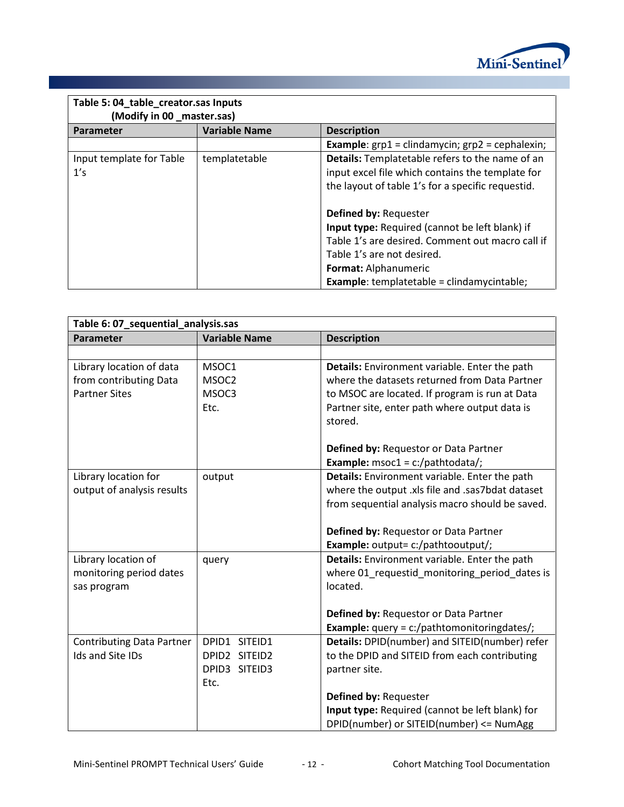

| Table 5: 04_table_creator.sas Inputs<br>(Modify in 00 _master.sas) |                      |                                                                            |
|--------------------------------------------------------------------|----------------------|----------------------------------------------------------------------------|
| Parameter                                                          | <b>Variable Name</b> | <b>Description</b>                                                         |
|                                                                    |                      | <b>Example:</b> $grp1 = \text{clindamycin}$ ; $grp2 = \text{cephalexin}$ ; |
| Input template for Table                                           | templatetable        | Details: Templatetable refers to the name of an                            |
| 1's                                                                |                      | input excel file which contains the template for                           |
|                                                                    |                      | the layout of table 1's for a specific requestid.                          |
|                                                                    |                      | <b>Defined by: Requester</b>                                               |
|                                                                    |                      | <b>Input type:</b> Required (cannot be left blank) if                      |
|                                                                    |                      | Table 1's are desired. Comment out macro call if                           |
|                                                                    |                      | Table 1's are not desired.                                                 |
|                                                                    |                      | Format: Alphanumeric                                                       |
|                                                                    |                      | <b>Example:</b> templatetable = clindamycintable;                          |

| Table 6: 07_sequential_analysis.sas |                      |                                                  |
|-------------------------------------|----------------------|--------------------------------------------------|
| Parameter                           | <b>Variable Name</b> | <b>Description</b>                               |
|                                     |                      |                                                  |
| Library location of data            | MSOC1                | Details: Environment variable. Enter the path    |
| from contributing Data              | MSOC2                | where the datasets returned from Data Partner    |
| <b>Partner Sites</b>                | MSOC3                | to MSOC are located. If program is run at Data   |
|                                     | Etc.                 | Partner site, enter path where output data is    |
|                                     |                      | stored.                                          |
|                                     |                      |                                                  |
|                                     |                      | Defined by: Requestor or Data Partner            |
|                                     |                      | <b>Example:</b> msoc1 = $c$ :/pathtodata/;       |
| Library location for                | output               | Details: Environment variable. Enter the path    |
| output of analysis results          |                      | where the output .xls file and .sas7bdat dataset |
|                                     |                      | from sequential analysis macro should be saved.  |
|                                     |                      |                                                  |
|                                     |                      | Defined by: Requestor or Data Partner            |
|                                     |                      | Example: output= c:/pathtooutput/;               |
| Library location of                 | query                | Details: Environment variable. Enter the path    |
| monitoring period dates             |                      | where 01_requestid_monitoring_period_dates is    |
| sas program                         |                      | located.                                         |
|                                     |                      | Defined by: Requestor or Data Partner            |
|                                     |                      | Example: query = c:/pathtomonitoringdates/;      |
| <b>Contributing Data Partner</b>    | DPID1 SITEID1        | Details: DPID(number) and SITEID(number) refer   |
| Ids and Site IDs                    | DPID2 SITEID2        | to the DPID and SITEID from each contributing    |
|                                     | DPID3 SITEID3        |                                                  |
|                                     | Etc.                 | partner site.                                    |
|                                     |                      | Defined by: Requester                            |
|                                     |                      | Input type: Required (cannot be left blank) for  |
|                                     |                      | DPID(number) or SITEID(number) <= NumAgg         |
|                                     |                      |                                                  |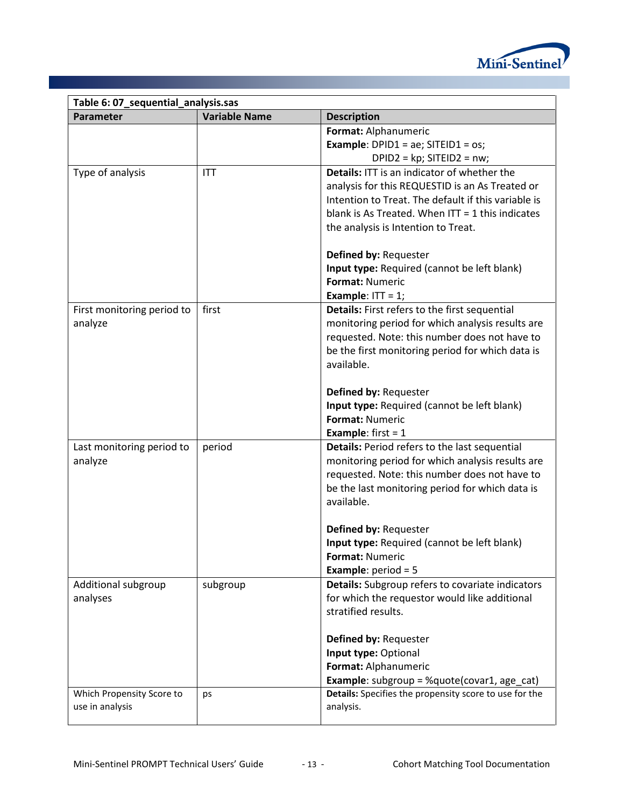

| Table 6: 07_sequential_analysis.sas |                      |                                                                      |
|-------------------------------------|----------------------|----------------------------------------------------------------------|
| Parameter                           | <b>Variable Name</b> | <b>Description</b>                                                   |
|                                     |                      | Format: Alphanumeric                                                 |
|                                     |                      | <b>Example:</b> DPID1 = ae; SITEID1 = os;                            |
|                                     |                      | DPID2 = $kp$ ; SITEID2 = $nw$ ;                                      |
| Type of analysis                    | <b>ITT</b>           | Details: ITT is an indicator of whether the                          |
|                                     |                      | analysis for this REQUESTID is an As Treated or                      |
|                                     |                      | Intention to Treat. The default if this variable is                  |
|                                     |                      | blank is As Treated. When $IT = 1$ this indicates                    |
|                                     |                      | the analysis is Intention to Treat.                                  |
|                                     |                      |                                                                      |
|                                     |                      | Defined by: Requester<br>Input type: Required (cannot be left blank) |
|                                     |                      | Format: Numeric                                                      |
|                                     |                      | Example: $IT = 1$ ;                                                  |
| First monitoring period to          | first                | Details: First refers to the first sequential                        |
| analyze                             |                      | monitoring period for which analysis results are                     |
|                                     |                      | requested. Note: this number does not have to                        |
|                                     |                      | be the first monitoring period for which data is                     |
|                                     |                      | available.                                                           |
|                                     |                      |                                                                      |
|                                     |                      | Defined by: Requester                                                |
|                                     |                      | Input type: Required (cannot be left blank)                          |
|                                     |                      | <b>Format: Numeric</b>                                               |
|                                     |                      | <b>Example:</b> first = $1$                                          |
| Last monitoring period to           | period               | Details: Period refers to the last sequential                        |
| analyze                             |                      | monitoring period for which analysis results are                     |
|                                     |                      | requested. Note: this number does not have to                        |
|                                     |                      | be the last monitoring period for which data is                      |
|                                     |                      | available.                                                           |
|                                     |                      |                                                                      |
|                                     |                      | Defined by: Requester<br>Input type: Required (cannot be left blank) |
|                                     |                      | Format: Numeric                                                      |
|                                     |                      | <b>Example:</b> period = $5$                                         |
| Additional subgroup                 | subgroup             | Details: Subgroup refers to covariate indicators                     |
| analyses                            |                      | for which the requestor would like additional                        |
|                                     |                      | stratified results.                                                  |
|                                     |                      |                                                                      |
|                                     |                      | Defined by: Requester                                                |
|                                     |                      | Input type: Optional                                                 |
|                                     |                      | Format: Alphanumeric                                                 |
|                                     |                      | <b>Example:</b> subgroup = %quote(covar1, age_cat)                   |
| Which Propensity Score to           | ps                   | Details: Specifies the propensity score to use for the               |
| use in analysis                     |                      | analysis.                                                            |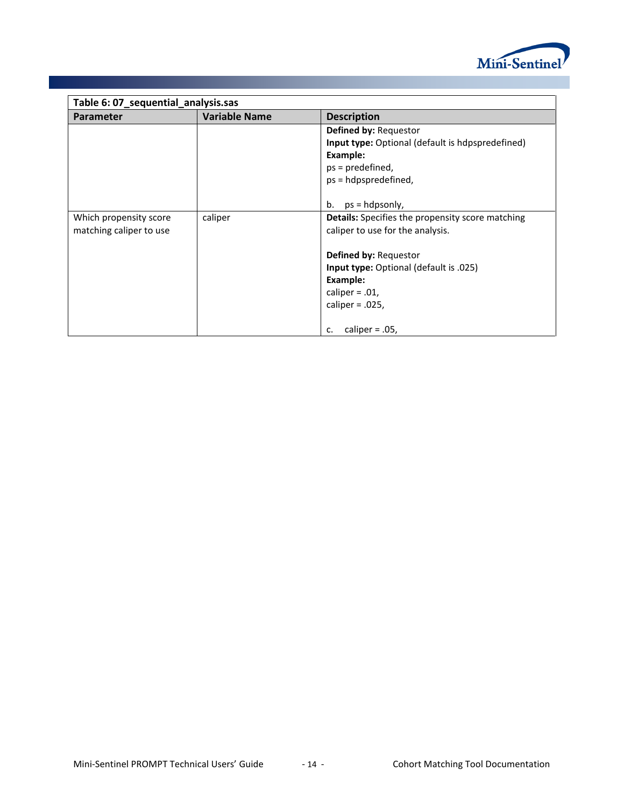

| Table 6: 07_sequential_analysis.sas |                      |                                                                                         |
|-------------------------------------|----------------------|-----------------------------------------------------------------------------------------|
| <b>Parameter</b>                    | <b>Variable Name</b> | <b>Description</b>                                                                      |
|                                     |                      | <b>Defined by: Requestor</b><br><b>Input type:</b> Optional (default is hdpspredefined) |
|                                     |                      | Example:                                                                                |
|                                     |                      | $ps = predefined$ ,                                                                     |
|                                     |                      | ps = hdpspredefined,                                                                    |
|                                     |                      |                                                                                         |
|                                     |                      | $ps = hdpsonly,$<br>b.                                                                  |
| Which propensity score              | caliper              | Details: Specifies the propensity score matching                                        |
| matching caliper to use             |                      | caliper to use for the analysis.                                                        |
|                                     |                      |                                                                                         |
|                                     |                      | <b>Defined by: Requestor</b>                                                            |
|                                     |                      | <b>Input type:</b> Optional (default is .025)                                           |
|                                     |                      | Example:                                                                                |
|                                     |                      | caliper = $.01$ ,                                                                       |
|                                     |                      | caliper = $.025$ ,                                                                      |
|                                     |                      |                                                                                         |
|                                     |                      | caliper = $.05$ ,<br>c.                                                                 |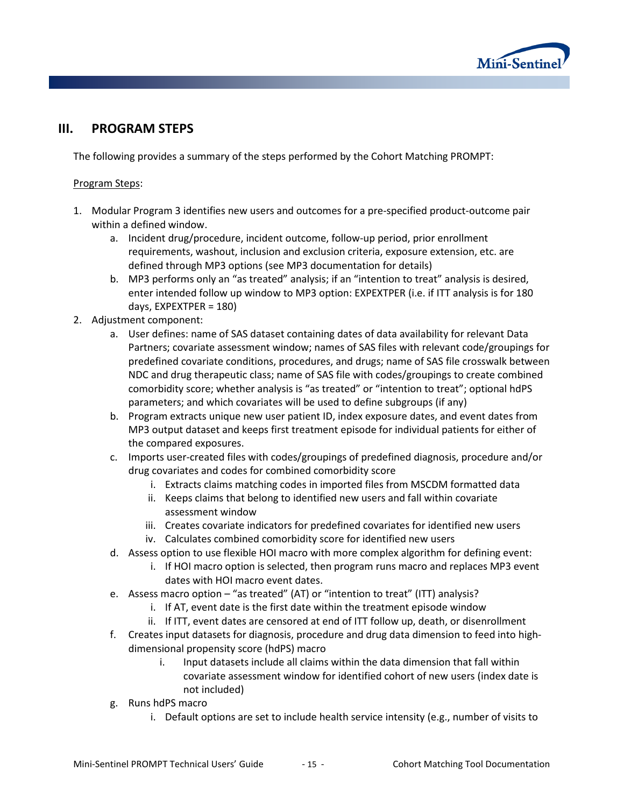

# **III. PROGRAM STEPS**

The following provides a summary of the steps performed by the Cohort Matching PROMPT:

## Program Steps:

- 1. Modular Program 3 identifies new users and outcomes for a pre-specified product-outcome pair within a defined window.
	- a. Incident drug/procedure, incident outcome, follow-up period, prior enrollment requirements, washout, inclusion and exclusion criteria, exposure extension, etc. are defined through MP3 options (see MP3 documentation for details)
	- b. MP3 performs only an "as treated" analysis; if an "intention to treat" analysis is desired, enter intended follow up window to MP3 option: EXPEXTPER (i.e. if ITT analysis is for 180 days, EXPEXTPER = 180)
- 2. Adjustment component:
	- a. User defines: name of SAS dataset containing dates of data availability for relevant Data Partners; covariate assessment window; names of SAS files with relevant code/groupings for predefined covariate conditions, procedures, and drugs; name of SAS file crosswalk between NDC and drug therapeutic class; name of SAS file with codes/groupings to create combined comorbidity score; whether analysis is "as treated" or "intention to treat"; optional hdPS parameters; and which covariates will be used to define subgroups (if any)
	- b. Program extracts unique new user patient ID, index exposure dates, and event dates from MP3 output dataset and keeps first treatment episode for individual patients for either of the compared exposures.
	- c. Imports user-created files with codes/groupings of predefined diagnosis, procedure and/or drug covariates and codes for combined comorbidity score
		- i. Extracts claims matching codes in imported files from MSCDM formatted data
		- ii. Keeps claims that belong to identified new users and fall within covariate assessment window
		- iii. Creates covariate indicators for predefined covariates for identified new users
		- iv. Calculates combined comorbidity score for identified new users
	- d. Assess option to use flexible HOI macro with more complex algorithm for defining event:
		- i. If HOI macro option is selected, then program runs macro and replaces MP3 event dates with HOI macro event dates.
	- e. Assess macro option "as treated" (AT) or "intention to treat" (ITT) analysis?
		- i. If AT, event date is the first date within the treatment episode window
		- ii. If ITT, event dates are censored at end of ITT follow up, death, or disenrollment
	- f. Creates input datasets for diagnosis, procedure and drug data dimension to feed into highdimensional propensity score (hdPS) macro
		- i. Input datasets include all claims within the data dimension that fall within covariate assessment window for identified cohort of new users (index date is not included)
	- g. Runs hdPS macro
		- i. Default options are set to include health service intensity (e.g., number of visits to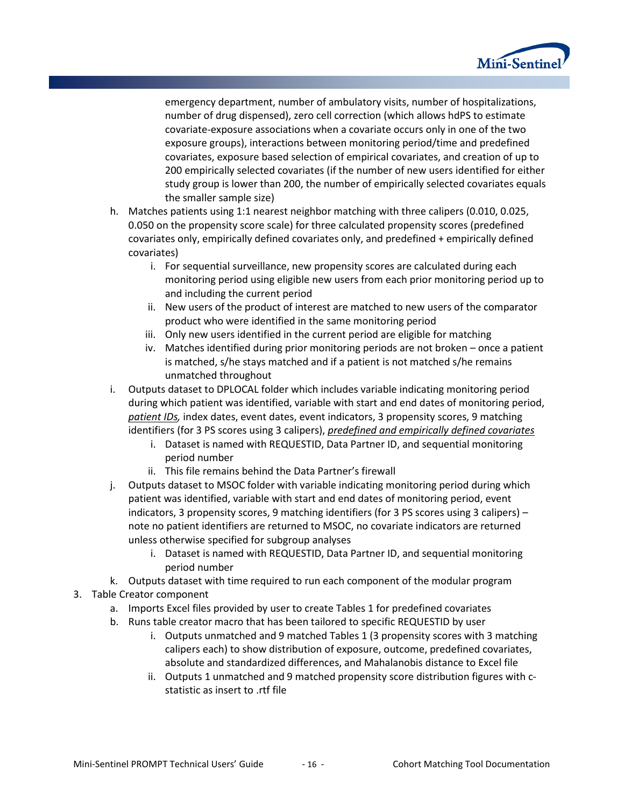

emergency department, number of ambulatory visits, number of hospitalizations, number of drug dispensed), zero cell correction (which allows hdPS to estimate covariate-exposure associations when a covariate occurs only in one of the two exposure groups), interactions between monitoring period/time and predefined covariates, exposure based selection of empirical covariates, and creation of up to 200 empirically selected covariates (if the number of new users identified for either study group is lower than 200, the number of empirically selected covariates equals the smaller sample size)

- h. Matches patients using 1:1 nearest neighbor matching with three calipers (0.010, 0.025, 0.050 on the propensity score scale) for three calculated propensity scores (predefined covariates only, empirically defined covariates only, and predefined + empirically defined covariates)
	- i. For sequential surveillance, new propensity scores are calculated during each monitoring period using eligible new users from each prior monitoring period up to and including the current period
	- ii. New users of the product of interest are matched to new users of the comparator product who were identified in the same monitoring period
	- iii. Only new users identified in the current period are eligible for matching
	- iv. Matches identified during prior monitoring periods are not broken once a patient is matched, s/he stays matched and if a patient is not matched s/he remains unmatched throughout
- i. Outputs dataset to DPLOCAL folder which includes variable indicating monitoring period during which patient was identified, variable with start and end dates of monitoring period, *patient IDs,* index dates, event dates, event indicators, 3 propensity scores, 9 matching identifiers (for 3 PS scores using 3 calipers), *predefined and empirically defined covariates*
	- i. Dataset is named with REQUESTID, Data Partner ID, and sequential monitoring period number
	- ii. This file remains behind the Data Partner's firewall
- j. Outputs dataset to MSOC folder with variable indicating monitoring period during which patient was identified, variable with start and end dates of monitoring period, event indicators, 3 propensity scores, 9 matching identifiers (for 3 PS scores using 3 calipers) – note no patient identifiers are returned to MSOC, no covariate indicators are returned unless otherwise specified for subgroup analyses
	- i. Dataset is named with REQUESTID, Data Partner ID, and sequential monitoring period number
- k. Outputs dataset with time required to run each component of the modular program
- 3. Table Creator component
	- a. Imports Excel files provided by user to create Tables 1 for predefined covariates
	- b. Runs table creator macro that has been tailored to specific REQUESTID by user
		- i. Outputs unmatched and 9 matched Tables 1 (3 propensity scores with 3 matching calipers each) to show distribution of exposure, outcome, predefined covariates, absolute and standardized differences, and Mahalanobis distance to Excel file
		- ii. Outputs 1 unmatched and 9 matched propensity score distribution figures with cstatistic as insert to .rtf file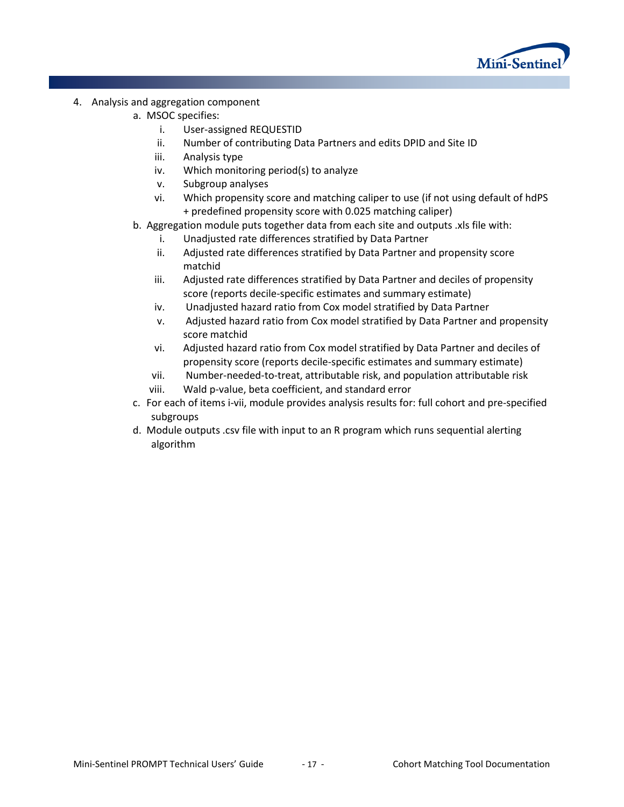

- 4. Analysis and aggregation component
	- a. MSOC specifies:
		- i. User-assigned REQUESTID
		- ii. Number of contributing Data Partners and edits DPID and Site ID
		- iii. Analysis type
		- iv. Which monitoring period(s) to analyze
		- v. Subgroup analyses
		- vi. Which propensity score and matching caliper to use (if not using default of hdPS + predefined propensity score with 0.025 matching caliper)
	- b. Aggregation module puts together data from each site and outputs .xls file with:
		- i. Unadjusted rate differences stratified by Data Partner
		- ii. Adjusted rate differences stratified by Data Partner and propensity score matchid
		- iii. Adjusted rate differences stratified by Data Partner and deciles of propensity score (reports decile-specific estimates and summary estimate)
		- iv. Unadjusted hazard ratio from Cox model stratified by Data Partner
		- v. Adjusted hazard ratio from Cox model stratified by Data Partner and propensity score matchid
		- vi. Adjusted hazard ratio from Cox model stratified by Data Partner and deciles of propensity score (reports decile-specific estimates and summary estimate)
		- vii. Number-needed-to-treat, attributable risk, and population attributable risk viii. Wald p-value, beta coefficient, and standard error
	- c. For each of items i-vii, module provides analysis results for: full cohort and pre-specified subgroups
	- d. Module outputs .csv file with input to an R program which runs sequential alerting algorithm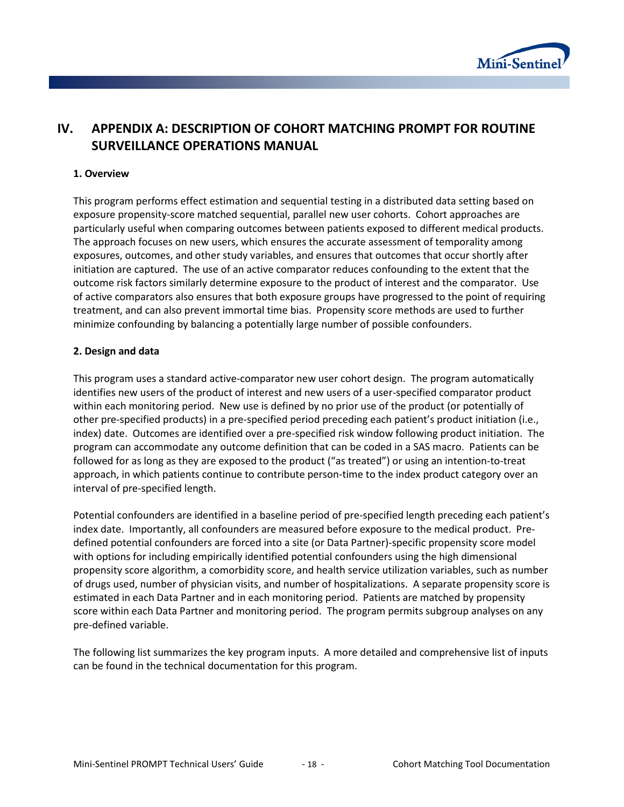

# **IV. APPENDIX A: DESCRIPTION OF COHORT MATCHING PROMPT FOR ROUTINE SURVEILLANCE OPERATIONS MANUAL**

### **1. Overview**

This program performs effect estimation and sequential testing in a distributed data setting based on exposure propensity-score matched sequential, parallel new user cohorts. Cohort approaches are particularly useful when comparing outcomes between patients exposed to different medical products. The approach focuses on new users, which ensures the accurate assessment of temporality among exposures, outcomes, and other study variables, and ensures that outcomes that occur shortly after initiation are captured. The use of an active comparator reduces confounding to the extent that the outcome risk factors similarly determine exposure to the product of interest and the comparator. Use of active comparators also ensures that both exposure groups have progressed to the point of requiring treatment, and can also prevent immortal time bias. Propensity score methods are used to further minimize confounding by balancing a potentially large number of possible confounders.

### **2. Design and data**

This program uses a standard active-comparator new user cohort design. The program automatically identifies new users of the product of interest and new users of a user-specified comparator product within each monitoring period. New use is defined by no prior use of the product (or potentially of other pre-specified products) in a pre-specified period preceding each patient's product initiation (i.e., index) date. Outcomes are identified over a pre-specified risk window following product initiation. The program can accommodate any outcome definition that can be coded in a SAS macro. Patients can be followed for as long as they are exposed to the product ("as treated") or using an intention-to-treat approach, in which patients continue to contribute person-time to the index product category over an interval of pre-specified length.

Potential confounders are identified in a baseline period of pre-specified length preceding each patient's index date. Importantly, all confounders are measured before exposure to the medical product. Predefined potential confounders are forced into a site (or Data Partner)-specific propensity score model with options for including empirically identified potential confounders using the high dimensional propensity score algorithm, a comorbidity score, and health service utilization variables, such as number of drugs used, number of physician visits, and number of hospitalizations. A separate propensity score is estimated in each Data Partner and in each monitoring period. Patients are matched by propensity score within each Data Partner and monitoring period. The program permits subgroup analyses on any pre-defined variable.

The following list summarizes the key program inputs. A more detailed and comprehensive list of inputs can be found in the technical documentation for this program.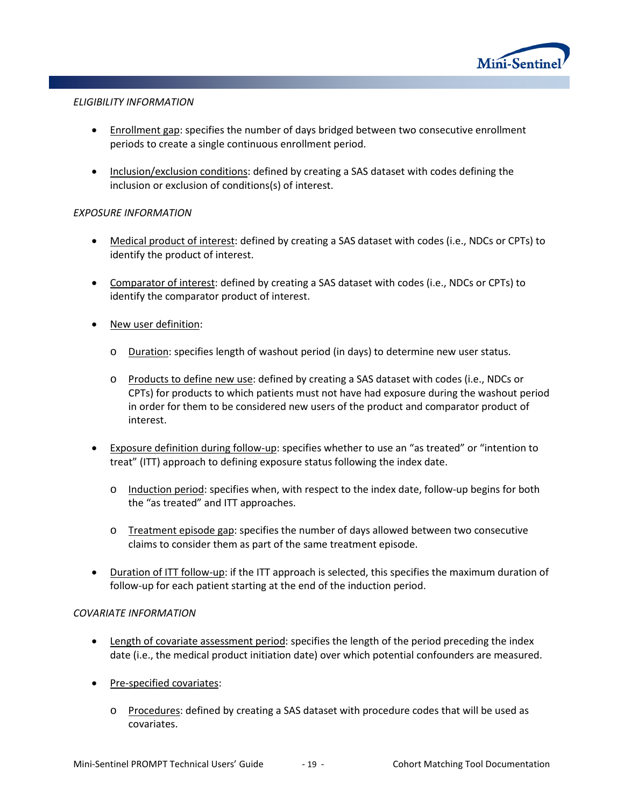

#### *ELIGIBILITY INFORMATION*

- Enrollment gap: specifies the number of days bridged between two consecutive enrollment periods to create a single continuous enrollment period.
- Inclusion/exclusion conditions: defined by creating a SAS dataset with codes defining the inclusion or exclusion of conditions(s) of interest.

## *EXPOSURE INFORMATION*

- Medical product of interest: defined by creating a SAS dataset with codes (i.e., NDCs or CPTs) to identify the product of interest.
- Comparator of interest: defined by creating a SAS dataset with codes (i.e., NDCs or CPTs) to identify the comparator product of interest.
- New user definition:
	- o Duration: specifies length of washout period (in days) to determine new user status.
	- o Products to define new use: defined by creating a SAS dataset with codes (i.e., NDCs or CPTs) for products to which patients must not have had exposure during the washout period in order for them to be considered new users of the product and comparator product of interest.
- Exposure definition during follow-up: specifies whether to use an "as treated" or "intention to treat" (ITT) approach to defining exposure status following the index date.
	- o Induction period: specifies when, with respect to the index date, follow-up begins for both the "as treated" and ITT approaches.
	- $\circ$  Treatment episode gap: specifies the number of days allowed between two consecutive claims to consider them as part of the same treatment episode.
- Duration of ITT follow-up: if the ITT approach is selected, this specifies the maximum duration of follow-up for each patient starting at the end of the induction period.

#### *COVARIATE INFORMATION*

- Length of covariate assessment period: specifies the length of the period preceding the index date (i.e., the medical product initiation date) over which potential confounders are measured.
- Pre-specified covariates:
	- o Procedures: defined by creating a SAS dataset with procedure codes that will be used as covariates.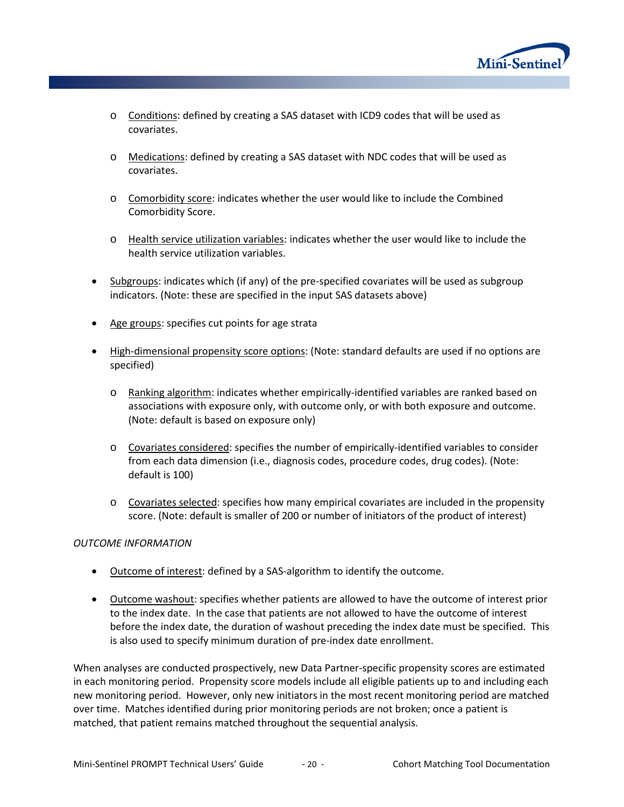

- $\circ$  Conditions: defined by creating a SAS dataset with ICD9 codes that will be used as covariates.
- o Medications: defined by creating a SAS dataset with NDC codes that will be used as covariates.
- o Comorbidity score: indicates whether the user would like to include the Combined Comorbidity Score.
- o Health service utilization variables: indicates whether the user would like to include the health service utilization variables.
- Subgroups: indicates which (if any) of the pre-specified covariates will be used as subgroup indicators. (Note: these are specified in the input SAS datasets above)
- Age groups: specifies cut points for age strata
- High-dimensional propensity score options: (Note: standard defaults are used if no options are specified)
	- o Ranking algorithm: indicates whether empirically-identified variables are ranked based on associations with exposure only, with outcome only, or with both exposure and outcome. (Note: default is based on exposure only)
	- o Covariates considered: specifies the number of empirically-identified variables to consider from each data dimension (i.e., diagnosis codes, procedure codes, drug codes). (Note: default is 100)
	- $\circ$  Covariates selected: specifies how many empirical covariates are included in the propensity score. (Note: default is smaller of 200 or number of initiators of the product of interest)

## *OUTCOME INFORMATION*

- Outcome of interest: defined by a SAS-algorithm to identify the outcome.
- Outcome washout: specifies whether patients are allowed to have the outcome of interest prior to the index date. In the case that patients are not allowed to have the outcome of interest before the index date, the duration of washout preceding the index date must be specified. This is also used to specify minimum duration of pre-index date enrollment.

When analyses are conducted prospectively, new Data Partner-specific propensity scores are estimated in each monitoring period. Propensity score models include all eligible patients up to and including each new monitoring period. However, only new initiators in the most recent monitoring period are matched over time. Matches identified during prior monitoring periods are not broken; once a patient is matched, that patient remains matched throughout the sequential analysis.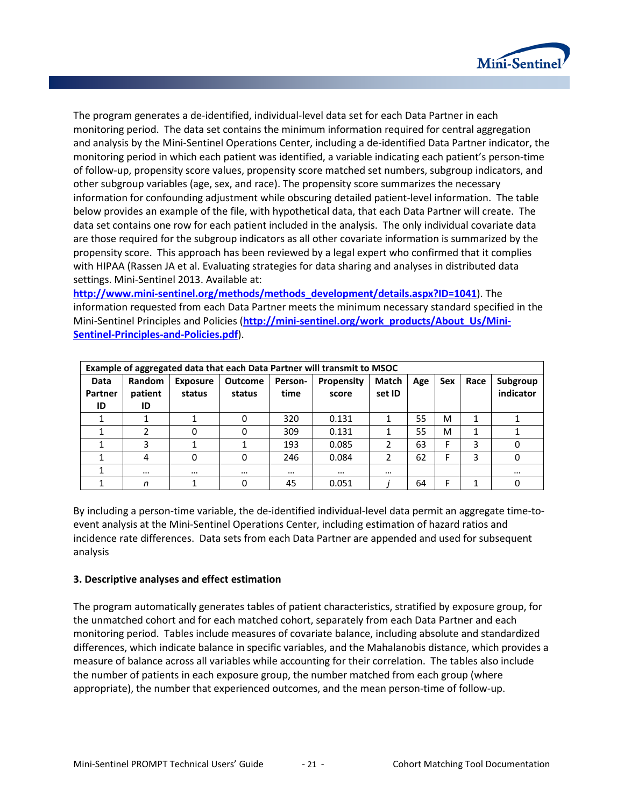

The program generates a de-identified, individual-level data set for each Data Partner in each monitoring period. The data set contains the minimum information required for central aggregation and analysis by the Mini-Sentinel Operations Center, including a de-identified Data Partner indicator, the monitoring period in which each patient was identified, a variable indicating each patient's person-time of follow-up, propensity score values, propensity score matched set numbers, subgroup indicators, and other subgroup variables (age, sex, and race). The propensity score summarizes the necessary information for confounding adjustment while obscuring detailed patient-level information. The table below provides an example of the file, with hypothetical data, that each Data Partner will create. The data set contains one row for each patient included in the analysis. The only individual covariate data are those required for the subgroup indicators as all other covariate information is summarized by the propensity score. This approach has been reviewed by a legal expert who confirmed that it complies with HIPAA (Rassen JA et al. Evaluating strategies for data sharing and analyses in distributed data settings. Mini-Sentinel 2013. Available at:

**[http://www.mini-sentinel.org/methods/methods\\_development/details.aspx?ID=1041](http://www.mini-sentinel.org/methods/methods_development/details.aspx?ID=1041)**). The information requested from each Data Partner meets the minimum necessary standard specified in the Mini-Sentinel Principles and Policies ([http://mini-sentinel.org/work\\_products/About\\_Us/Mini-](http://mini-sentinel.org/work_products/About_Us/Mini-Sentinel-Principles-and-Policies.pdf)**[Sentinel-Principles-and-Policies.pdf](http://mini-sentinel.org/work_products/About_Us/Mini-Sentinel-Principles-and-Policies.pdf)**).

|                       | Example of aggregated data that each Data Partner will transmit to MSOC |                           |                          |                 |                     |                 |     |            |      |                       |
|-----------------------|-------------------------------------------------------------------------|---------------------------|--------------------------|-----------------|---------------------|-----------------|-----|------------|------|-----------------------|
| Data<br>Partner<br>ID | Random<br>patient<br>ID                                                 | <b>Exposure</b><br>status | <b>Outcome</b><br>status | Person-<br>time | Propensity<br>score | Match<br>set ID | Age | <b>Sex</b> | Race | Subgroup<br>indicator |
|                       |                                                                         |                           | 0                        | 320             | 0.131               |                 | 55  | M          |      |                       |
|                       |                                                                         | 0                         | Ω                        | 309             | 0.131               |                 | 55  | M          |      |                       |
|                       | 3                                                                       |                           |                          | 193             | 0.085               |                 | 63  | Е          | 3    |                       |
|                       | 4                                                                       | 0                         | 0                        | 246             | 0.084               |                 | 62  |            | 3    | 0                     |
|                       |                                                                         |                           |                          |                 | $\cdots$            |                 |     |            |      | $\cdots$              |
|                       | n                                                                       |                           | 0                        | 45              | 0.051               |                 | 64  |            |      | 0                     |

By including a person-time variable, the de-identified individual-level data permit an aggregate time-toevent analysis at the Mini-Sentinel Operations Center, including estimation of hazard ratios and incidence rate differences. Data sets from each Data Partner are appended and used for subsequent analysis

## **3. Descriptive analyses and effect estimation**

The program automatically generates tables of patient characteristics, stratified by exposure group, for the unmatched cohort and for each matched cohort, separately from each Data Partner and each monitoring period. Tables include measures of covariate balance, including absolute and standardized differences, which indicate balance in specific variables, and the Mahalanobis distance, which provides a measure of balance across all variables while accounting for their correlation. The tables also include the number of patients in each exposure group, the number matched from each group (where appropriate), the number that experienced outcomes, and the mean person-time of follow-up.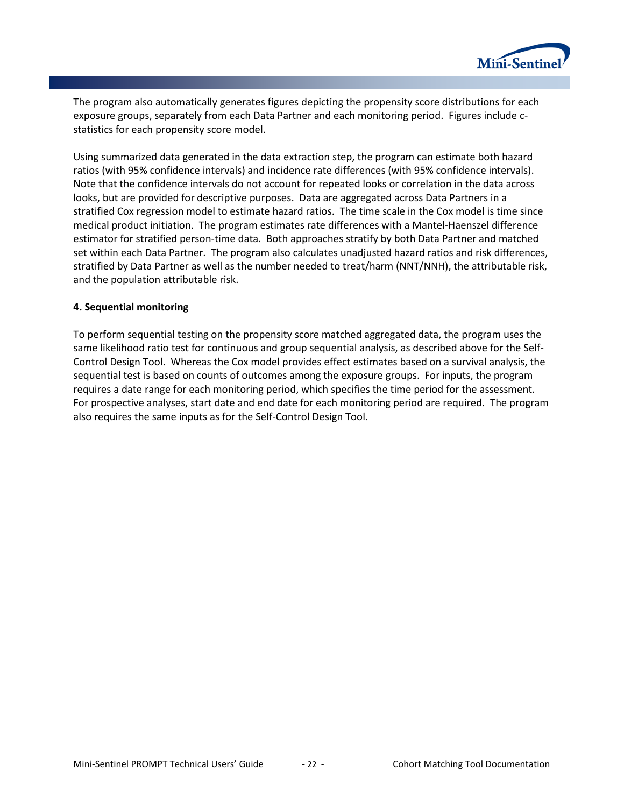

The program also automatically generates figures depicting the propensity score distributions for each exposure groups, separately from each Data Partner and each monitoring period. Figures include cstatistics for each propensity score model.

Using summarized data generated in the data extraction step, the program can estimate both hazard ratios (with 95% confidence intervals) and incidence rate differences (with 95% confidence intervals). Note that the confidence intervals do not account for repeated looks or correlation in the data across looks, but are provided for descriptive purposes. Data are aggregated across Data Partners in a stratified Cox regression model to estimate hazard ratios. The time scale in the Cox model is time since medical product initiation. The program estimates rate differences with a Mantel-Haenszel difference estimator for stratified person-time data. Both approaches stratify by both Data Partner and matched set within each Data Partner. The program also calculates unadjusted hazard ratios and risk differences, stratified by Data Partner as well as the number needed to treat/harm (NNT/NNH), the attributable risk, and the population attributable risk.

### **4. Sequential monitoring**

To perform sequential testing on the propensity score matched aggregated data, the program uses the same likelihood ratio test for continuous and group sequential analysis, as described above for the Self-Control Design Tool. Whereas the Cox model provides effect estimates based on a survival analysis, the sequential test is based on counts of outcomes among the exposure groups. For inputs, the program requires a date range for each monitoring period, which specifies the time period for the assessment. For prospective analyses, start date and end date for each monitoring period are required. The program also requires the same inputs as for the Self-Control Design Tool.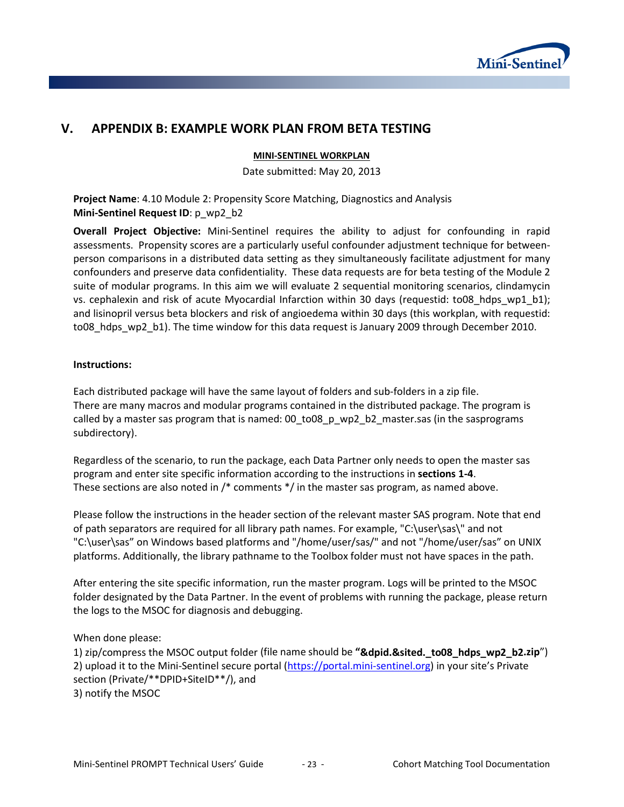

# **V. APPENDIX B: EXAMPLE WORK PLAN FROM BETA TESTING**

#### **MINI-SENTINEL WORKPLAN**

Date submitted: May 20, 2013

**Project Name**: 4.10 Module 2: Propensity Score Matching, Diagnostics and Analysis **Mini-Sentinel Request ID**: p\_wp2\_b2

**Overall Project Objective:** Mini-Sentinel requires the ability to adjust for confounding in rapid assessments. Propensity scores are a particularly useful confounder adjustment technique for betweenperson comparisons in a distributed data setting as they simultaneously facilitate adjustment for many confounders and preserve data confidentiality. These data requests are for beta testing of the Module 2 suite of modular programs. In this aim we will evaluate 2 sequential monitoring scenarios, clindamycin vs. cephalexin and risk of acute Myocardial Infarction within 30 days (requestid: to08 hdps wp1 b1); and lisinopril versus beta blockers and risk of angioedema within 30 days (this workplan, with requestid: to08 hdps wp2 b1). The time window for this data request is January 2009 through December 2010.

### **Instructions:**

Each distributed package will have the same layout of folders and sub-folders in a zip file. There are many macros and modular programs contained in the distributed package. The program is called by a master sas program that is named: 00\_to08\_p\_wp2\_b2\_master.sas (in the sasprograms subdirectory).

Regardless of the scenario, to run the package, each Data Partner only needs to open the master sas program and enter site specific information according to the instructions in **sections 1-4**. These sections are also noted in /\* comments \*/ in the master sas program, as named above.

Please follow the instructions in the header section of the relevant master SAS program. Note that end of path separators are required for all library path names. For example, "C:\user\sas\" and not "C:\user\sas" on Windows based platforms and "/home/user/sas/" and not "/home/user/sas" on UNIX platforms. Additionally, the library pathname to the Toolbox folder must not have spaces in the path.

After entering the site specific information, run the master program. Logs will be printed to the MSOC folder designated by the Data Partner. In the event of problems with running the package, please return the logs to the MSOC for diagnosis and debugging.

When done please:

1) zip/compress the MSOC output folder (file name should be "**&dpid.&sited. to08 hdps wp2 b2.zip**") 2) upload it to the Mini-Sentinel secure portal [\(https://portal.mini-sentinel.org\)](https://portal.mini-sentinel.org/) in your site's Private section (Private/\*\*DPID+SiteID\*\*/), and 3) notify the MSOC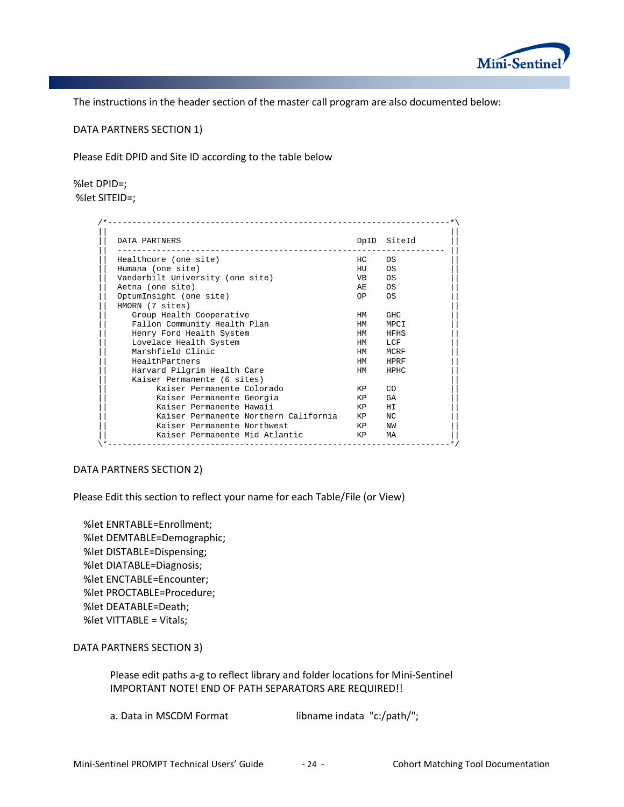

The instructions in the header section of the master call program are also documented below:

DATA PARTNERS SECTION 1)

Please Edit DPID and Site ID according to the table below

%let DPID=; %let SITEID=;

| DATA PARTNERS                         |           | DpID SiteId |
|---------------------------------------|-----------|-------------|
| Healthcore (one site)                 | HC        | OS          |
| Humana (one site)                     | HU        | 0S          |
| Vanderbilt University (one site)      | <b>VB</b> | <b>OS</b>   |
| Aetna (one site)                      | AF.       | OS          |
| OptumInsight (one site)               | OP —      | <b>OS</b>   |
| HMORN (7 sites)                       |           |             |
| Group Health Cooperative              | HM        | GHC.        |
| Fallon Community Health Plan          | <b>HM</b> | MPCI        |
| Henry Ford Health System              | <b>HM</b> | HFHS        |
| Lovelace Health System                | <b>HM</b> | LCF         |
| Marshfield Clinic                     | <b>HM</b> | MCRF        |
| HealthPartners                        | <b>HM</b> | HPRF        |
| Harvard Pilgrim Health Care           | <b>HM</b> | <b>HPHC</b> |
| Kaiser Permanente (6 sites)           |           |             |
| Kaiser Permanente Colorado            | KP        | CO          |
| Kaiser Permanente Georgia             | KP        | GA          |
| Kaiser Permanente Hawaii              | KP        | HI          |
| Kaiser Permanente Northern California | KP        | NC          |
| Kaiser Permanente Northwest           | KP        | NW          |
| Kaiser Permanente Mid Atlantic        | KP.       | МA          |

#### DATA PARTNERS SECTION 2)

Please Edit this section to reflect your name for each Table/File (or View)

 %let ENRTABLE=Enrollment; %let DEMTABLE=Demographic; %let DISTABLE=Dispensing; %let DIATABLE=Diagnosis; %let ENCTABLE=Encounter; %let PROCTABLE=Procedure; %let DEATABLE=Death; %let VITTABLE = Vitals;

DATA PARTNERS SECTION 3)

Please edit paths a-g to reflect library and folder locations for Mini-Sentinel IMPORTANT NOTE! END OF PATH SEPARATORS ARE REQUIRED!!

a. Data in MSCDM Format libname indata "c:/path/";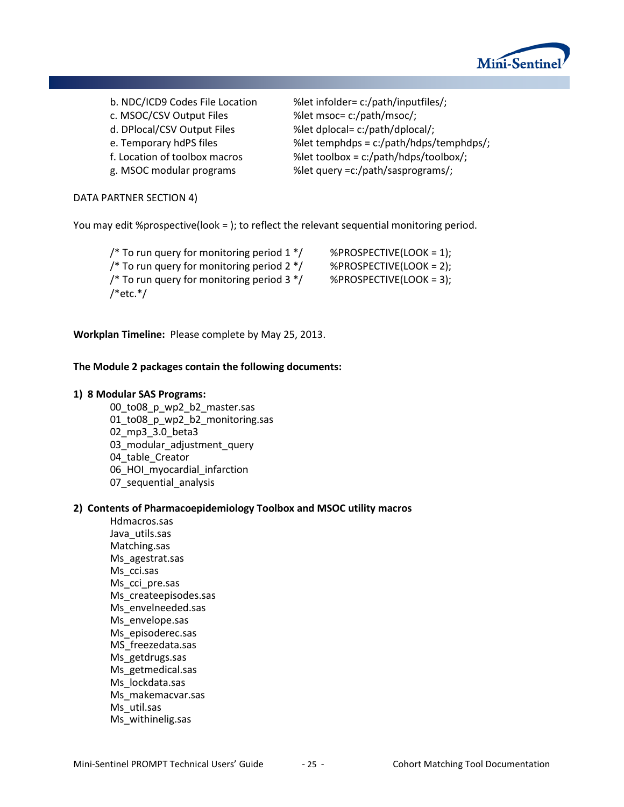

c. MSOC/CSV Output Files %let msoc= c:/path/msoc/; d. DPlocal/CSV Output Files %let dplocal= c:/path/dplocal/;

b. NDC/ICD9 Codes File Location %let infolder= c:/path/inputfiles/; e. Temporary hdPS files  $\%$ let temphdps = c:/path/hdps/temphdps/; f. Location of toolbox macros %let toolbox = c:/path/hdps/toolbox/; g. MSOC modular programs %let query =c:/path/sasprograms/;

#### DATA PARTNER SECTION 4)

You may edit %prospective(look = ); to reflect the relevant sequential monitoring period.

/\* To run query for monitoring period  $1*/$  %PROSPECTIVE(LOOK = 1); /\* To run query for monitoring period  $2*/$  %PROSPECTIVE(LOOK = 2); /\* To run query for monitoring period  $3*/$  %PROSPECTIVE(LOOK = 3);  $/*$ etc. $*/$ 

**Workplan Timeline:** Please complete by May 25, 2013.

#### **The Module 2 packages contain the following documents:**

#### **1) 8 Modular SAS Programs:**

00\_to08\_p\_wp2\_b2\_master.sas 01\_to08\_p\_wp2\_b2\_monitoring.sas 02\_mp3\_3.0\_beta3 03\_modular\_adjustment\_query 04 table Creator 06 HOI myocardial infarction 07\_sequential\_analysis

#### **2) Contents of Pharmacoepidemiology Toolbox and MSOC utility macros**

Hdmacros.sas Java\_utils.sas Matching.sas Ms\_agestrat.sas Ms\_cci.sas Ms\_cci\_pre.sas Ms\_createepisodes.sas Ms envelneeded.sas Ms envelope.sas Ms\_episoderec.sas MS\_freezedata.sas Ms\_getdrugs.sas Ms\_getmedical.sas Ms lockdata.sas Ms\_makemacvar.sas Ms\_util.sas Ms\_withinelig.sas

Mini-Sentinel PROMPT Technical Users' Guide - 25 - Cohort Matching Tool Documentation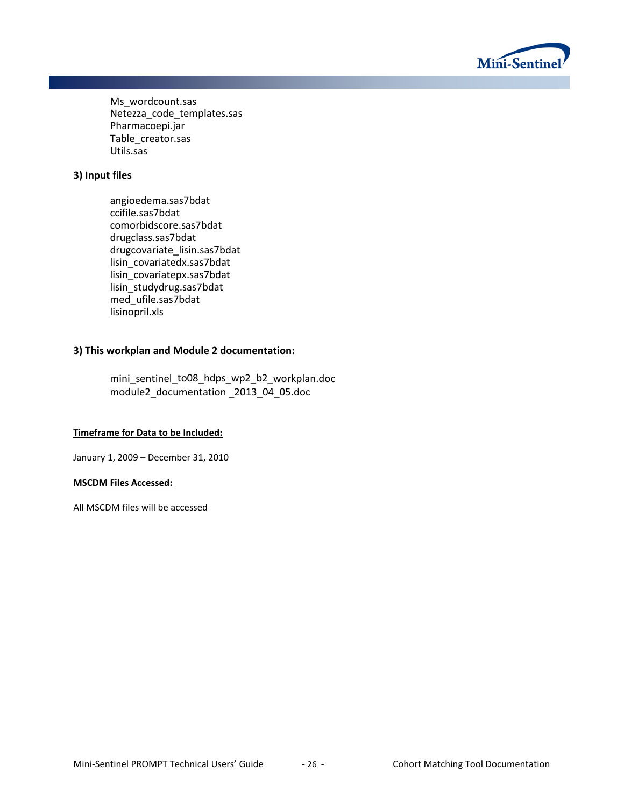

Ms wordcount.sas Netezza code templates.sas Pharmacoepi.jar Table\_creator.sas Utils.sas

## **3) Input files**

angioedema.sas7bdat ccifile.sas7bdat comorbidscore.sas7bdat drugclass.sas7bdat drugcovariate\_lisin.sas7bdat lisin\_covariatedx.sas7bdat lisin\_covariatepx.sas7bdat lisin\_studydrug.sas7bdat med\_ufile.sas7bdat lisinopril.xls

## **3) This workplan and Module 2 documentation:**

mini\_sentinel\_to08\_hdps\_wp2\_b2\_workplan.doc module2\_documentation \_2013\_04\_05.doc

#### **Timeframe for Data to be Included:**

January 1, 2009 – December 31, 2010

#### **MSCDM Files Accessed:**

All MSCDM files will be accessed